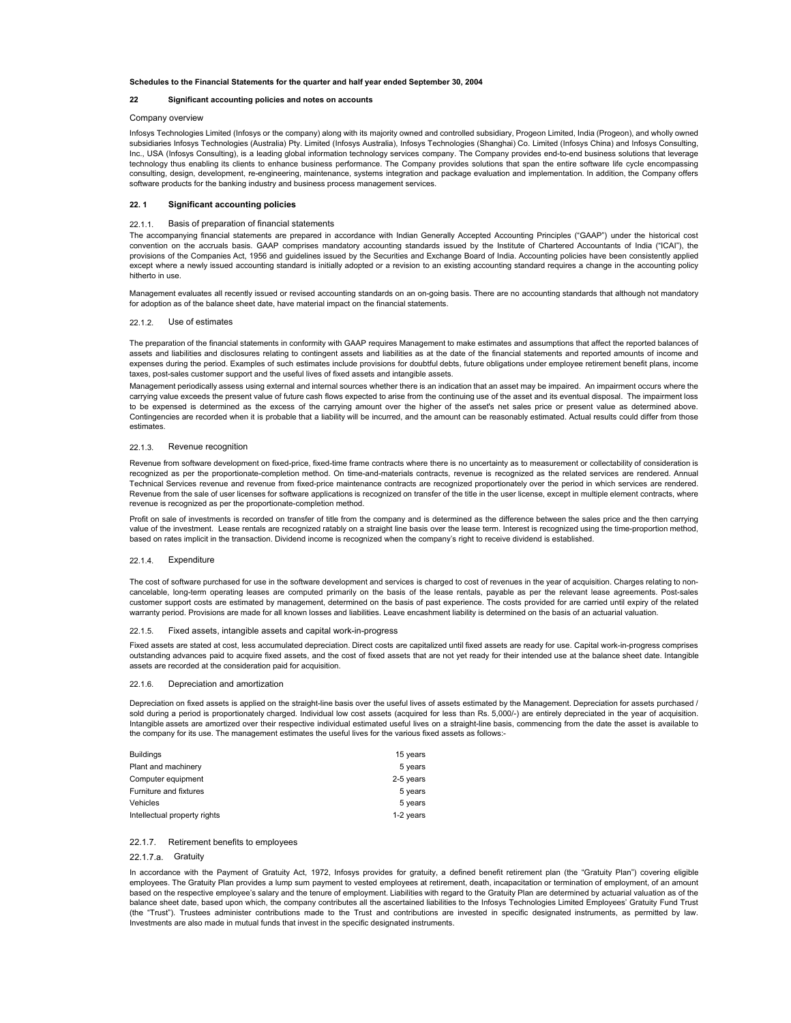## **Schedules to the Financial Statements for the quarter and half year ended September 30, 2004**

#### **22 Significant accounting policies and notes on accounts**

# Company overview

Infosys Technologies Limited (Infosys or the company) along with its majority owned and controlled subsidiary, Progeon Limited, India (Progeon), and wholly owned subsidiaries Infosys Technologies (Australia) Pty. Limited (Infosys Australia), Infosys Technologies (Shanghai) Co. Limited (Infosys China) and Infosys Consulting, Inc., USA (Infosys Consulting), is a leading global information technology services company. The Company provides end-to-end business solutions that leverage technology thus enabling its clients to enhance business performance. The Company provides solutions that span the entire software life cycle encompassing consulting, design, development, re-engineering, maintenance, systems integration and package evaluation and implementation. In addition, the Company offers software products for the banking industry and business process management services.

#### **22. 1 Significant accounting policies**

#### 22.1.1. Basis of preparation of financial statements

The accompanying financial statements are prepared in accordance with Indian Generally Accepted Accounting Principles ("GAAP") under the historical cost convention on the accruals basis. GAAP comprises mandatory accounting standards issued by the Institute of Chartered Accountants of India ("ICAI"), the provisions of the Companies Act, 1956 and guidelines issued by the Securities and Exchange Board of India. Accounting policies have been consistently applied except where a newly issued accounting standard is initially adopted or a revision to an existing accounting standard requires a change in the accounting policy hitherto in use.

Management evaluates all recently issued or revised accounting standards on an on-going basis. There are no accounting standards that although not mandatory for adoption as of the balance sheet date, have material impact on the financial statements.

#### 22.1.2. Use of estimates

The preparation of the financial statements in conformity with GAAP requires Management to make estimates and assumptions that affect the reported balances of assets and liabilities and disclosures relating to contingent assets and liabilities as at the date of the financial statements and reported amounts of income and expenses during the period. Examples of such estimates include provisions for doubtful debts, future obligations under employee retirement benefit plans, income taxes, post-sales customer support and the useful lives of fixed assets and intangible assets.

Management periodically assess using external and internal sources whether there is an indication that an asset may be impaired. An impairment occurs where the carrying value exceeds the present value of future cash flows expected to arise from the continuing use of the asset and its eventual disposal. The impairment loss to be expensed is determined as the excess of the carrying amount over the higher of the asset's net sales price or present value as determined above. Contingencies are recorded when it is probable that a liability will be incurred, and the amount can be reasonably estimated. Actual results could differ from those estimates.

#### 22.1.3. Revenue recognition

Revenue from software development on fixed-price, fixed-time frame contracts where there is no uncertainty as to measurement or collectability of consideration is recognized as per the proportionate-completion method. On time-and-materials contracts, revenue is recognized as the related services are rendered. Annual Technical Services revenue and revenue from fixed-price maintenance contracts are recognized proportionately over the period in which services are rendered. Revenue from the sale of user licenses for software applications is recognized on transfer of the title in the user license, except in multiple element contracts, where revenue is recognized as per the proportionate-completion method.

Profit on sale of investments is recorded on transfer of title from the company and is determined as the difference between the sales price and the then carrying value of the investment. Lease rentals are recognized ratably on a straight line basis over the lease term. Interest is recognized using the time-proportion method, based on rates implicit in the transaction. Dividend income is recognized when the company's right to receive dividend is established.

#### 22.1.4. Expenditure

The cost of software purchased for use in the software development and services is charged to cost of revenues in the year of acquisition. Charges relating to noncancelable, long-term operating leases are computed primarily on the basis of the lease rentals, payable as per the relevant lease agreements. Post-sales customer support costs are estimated by management, determined on the basis of past experience. The costs provided for are carried until expiry of the related warranty period. Provisions are made for all known losses and liabilities. Leave encashment liability is determined on the basis of an actuarial valuation.

#### 22.1.5. Fixed assets, intangible assets and capital work-in-progress

Fixed assets are stated at cost, less accumulated depreciation. Direct costs are capitalized until fixed assets are ready for use. Capital work-in-progress comprises outstanding advances paid to acquire fixed assets, and the cost of fixed assets that are not yet ready for their intended use at the balance sheet date. Intangible assets are recorded at the consideration paid for acquisition.

#### 22.1.6. Depreciation and amortization

Depreciation on fixed assets is applied on the straight-line basis over the useful lives of assets estimated by the Management. Depreciation for assets purchased / sold during a period is proportionately charged. Individual low cost assets (acquired for less than Rs. 5,000/-) are entirely depreciated in the year of acquisition. Intangible assets are amortized over their respective individual estimated useful lives on a straight-line basis, commencing from the date the asset is available to the company for its use. The management estimates the useful lives for the various fixed assets as follows:-

| <b>Buildings</b>             | 15 years  |
|------------------------------|-----------|
| Plant and machinery          | 5 years   |
| Computer equipment           | 2-5 years |
| Furniture and fixtures       | 5 years   |
| Vehicles                     | 5 years   |
| Intellectual property rights | 1-2 years |

### 22.1.7. Retirement benefits to employees

#### 22.1.7.a. Gratuity

In accordance with the Payment of Gratuity Act, 1972, Infosys provides for gratuity, a defined benefit retirement plan (the "Gratuity Plan") covering eligible employees. The Gratuity Plan provides a lump sum payment to vested employees at retirement, death, incapacitation or termination of employment, of an amount based on the respective employee's salary and the tenure of employment. Liabilities with regard to the Gratuity Plan are determined by actuarial valuation as of the balance sheet date, based upon which, the company contributes all the ascertained liabilities to the Infosys Technologies Limited Employees' Gratuity Fund Trust (the "Trust"). Trustees administer contributions made to the Trust and contributions are invested in specific designated instruments, as permitted by law. Investments are also made in mutual funds that invest in the specific designated instruments.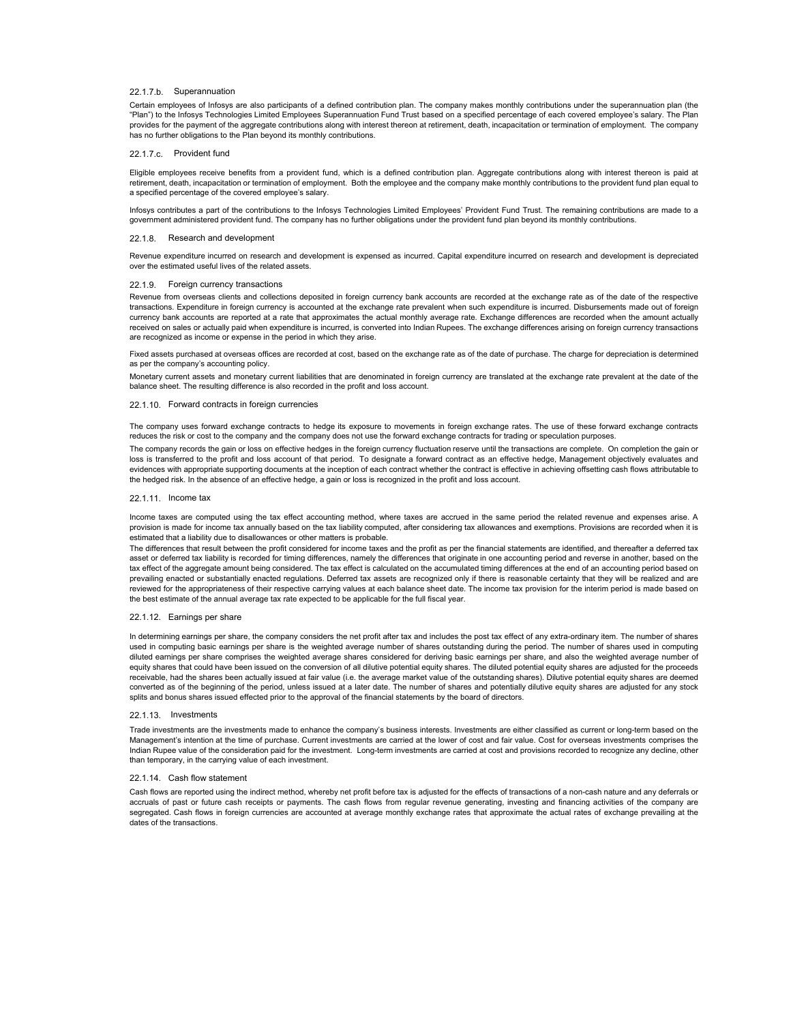### 22.1.7.b. Superannuation

Certain employees of Infosys are also participants of a defined contribution plan. The company makes monthly contributions under the superannuation plan (the "Plan") to the Infosys Technologies Limited Employees Superannuation Fund Trust based on a specified percentage of each covered employee's salary. The Plan provides for the payment of the aggregate contributions along with interest thereon at retirement, death, incapacitation or termination of employment. The company has no further obligations to the Plan beyond its monthly contributions.

#### 22.1.7.c. Provident fund

Eligible employees receive benefits from a provident fund, which is a defined contribution plan. Aggregate contributions along with interest thereon is paid at retirement, death, incapacitation or termination of employment. Both the employee and the company make monthly contributions to the provident fund plan equal to a specified percentage of the covered employee's salary.

Infosys contributes a part of the contributions to the Infosys Technologies Limited Employees' Provident Fund Trust. The remaining contributions are made to a government administered provident fund. The company has no further obligations under the provident fund plan beyond its monthly contributions.

#### 22.1.8. Research and development

Revenue expenditure incurred on research and development is expensed as incurred. Capital expenditure incurred on research and development is depreciated over the estimated useful lives of the related assets.

#### 22.1.9. Foreign currency transactions

Revenue from overseas clients and collections deposited in foreign currency bank accounts are recorded at the exchange rate as of the date of the respective transactions. Expenditure in foreign currency is accounted at the exchange rate prevalent when such expenditure is incurred. Disbursements made out of foreign currency bank accounts are reported at a rate that approximates the actual monthly average rate. Exchange differences are recorded when the amount actually received on sales or actually paid when expenditure is incurred, is converted into Indian Rupees. The exchange differences arising on foreign currency transactions are recognized as income or expense in the period in which they arise.

Fixed assets purchased at overseas offices are recorded at cost, based on the exchange rate as of the date of purchase. The charge for depreciation is determined as per the company's accounting policy.

Monetary current assets and monetary current liabilities that are denominated in foreign currency are translated at the exchange rate prevalent at the date of the balance sheet. The resulting difference is also recorded in the profit and loss account.

#### 22.1.10. Forward contracts in foreign currencies

The company uses forward exchange contracts to hedge its exposure to movements in foreign exchange rates. The use of these forward exchange contracts reduces the risk or cost to the company and the company does not use the forward exchange contracts for trading or speculation purposes.

The company records the gain or loss on effective hedges in the foreign currency fluctuation reserve until the transactions are complete. On completion the gain or loss is transferred to the profit and loss account of that period. To designate a forward contract as an effective hedge, Management objectively evaluates and evidences with appropriate supporting documents at the inception of each contract whether the contract is effective in achieving offsetting cash flows attributable to the hedged risk. In the absence of an effective hedge, a gain or loss is recognized in the profit and loss account.

#### 22.1.11. Income tax

Income taxes are computed using the tax effect accounting method, where taxes are accrued in the same period the related revenue and expenses arise. A provision is made for income tax annually based on the tax liability computed, after considering tax allowances and exemptions. Provisions are recorded when it is estimated that a liability due to disallowances or other matters is probable.

The differences that result between the profit considered for income taxes and the profit as per the financial statements are identified, and thereafter a deferred tax asset or deferred tax liability is recorded for timing differences, namely the differences that originate in one accounting period and reverse in another, based on the tax effect of the aggregate amount being considered. The tax effect is calculated on the accumulated timing differences at the end of an accounting period based on prevailing enacted or substantially enacted regulations. Deferred tax assets are recognized only if there is reasonable certainty that they will be realized and are reviewed for the appropriateness of their respective carrying values at each balance sheet date. The income tax provision for the interim period is made based on the best estimate of the annual average tax rate expected to be applicable for the full fiscal year.

#### 22.1.12. Earnings per share

In determining earnings per share, the company considers the net profit after tax and includes the post tax effect of any extra-ordinary item. The number of shares used in computing basic earnings per share is the weighted average number of shares outstanding during the period. The number of shares used in computing diluted earnings per share comprises the weighted average shares considered for deriving basic earnings per share, and also the weighted average number of equity shares that could have been issued on the conversion of all dilutive potential equity shares. The diluted potential equity shares are adjusted for the proceeds receivable, had the shares been actually issued at fair value (i.e. the average market value of the outstanding shares). Dilutive potential equity shares are deemed<br>converted as of the beginning of the period, unless issue splits and bonus shares issued effected prior to the approval of the financial statements by the board of directors.

#### 22.1.13. Investments

Trade investments are the investments made to enhance the company's business interests. Investments are either classified as current or long-term based on the Management's intention at the time of purchase. Current investments are carried at the lower of cost and fair value. Cost for overseas investments comprises the Indian Rupee value of the consideration paid for the investment. Long-term investments are carried at cost and provisions recorded to recognize any decline, other than temporary, in the carrying value of each investment.

#### 22.1.14. Cash flow statement

Cash flows are reported using the indirect method, whereby net profit before tax is adjusted for the effects of transactions of a non-cash nature and any deferrals or accruals of past or future cash receipts or payments. The cash flows from regular revenue generating, investing and financing activities of the company are segregated. Cash flows in foreign currencies are accounted at average monthly exchange rates that approximate the actual rates of exchange prevailing at the dates of the transactions.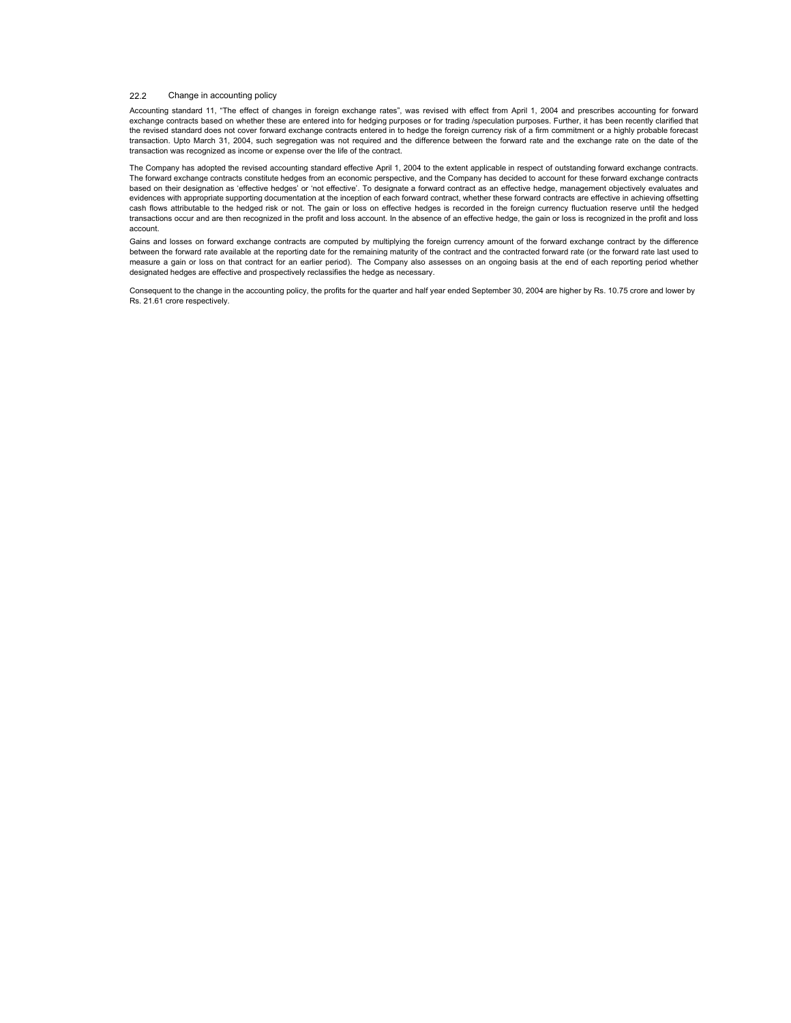#### 22.2 Change in accounting policy

Accounting standard 11, "The effect of changes in foreign exchange rates", was revised with effect from April 1, 2004 and prescribes accounting for forward exchange contracts based on whether these are entered into for hedging purposes or for trading /speculation purposes. Further, it has been recently clarified that the revised standard does not cover forward exchange contracts entered in to hedge the foreign currency risk of a firm commitment or a highly probable forecast transaction. Upto March 31, 2004, such segregation was not required and the difference between the forward rate and the exchange rate on the date of the transaction was recognized as income or expense over the life of the contract.

The Company has adopted the revised accounting standard effective April 1, 2004 to the extent applicable in respect of outstanding forward exchange contracts. The forward exchange contracts constitute hedges from an economic perspective, and the Company has decided to account for these forward exchange contracts based on their designation as 'effective hedges' or 'not effective'. To designate a forward contract as an effective hedge, management objectively evaluates and evidences with appropriate supporting documentation at the inception of each forward contract, whether these forward contracts are effective in achieving offsetting cash flows attributable to the hedged risk or not. The gain or loss on effective hedges is recorded in the foreign currency fluctuation reserve until the hedged transactions occur and are then recognized in the profit and loss account. In the absence of an effective hedge, the gain or loss is recognized in the profit and loss account.

Gains and losses on forward exchange contracts are computed by multiplying the foreign currency amount of the forward exchange contract by the difference between the forward rate available at the reporting date for the remaining maturity of the contract and the contracted forward rate (or the forward rate last used to measure a gain or loss on that contract for an earlier period). The Company also assesses on an ongoing basis at the end of each reporting period whether designated hedges are effective and prospectively reclassifies the hedge as necessary.

Consequent to the change in the accounting policy, the profits for the quarter and half year ended September 30, 2004 are higher by Rs. 10.75 crore and lower by Rs. 21.61 crore respectively.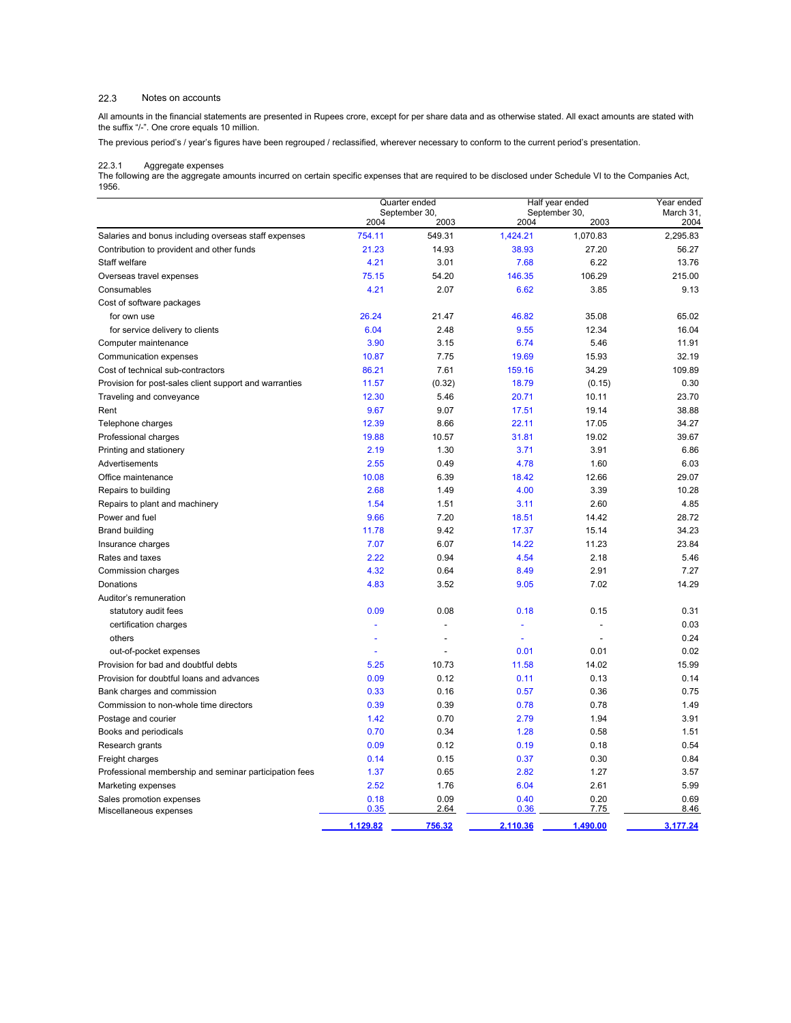#### 22.3 Notes on accounts

All amounts in the financial statements are presented in Rupees crore, except for per share data and as otherwise stated. All exact amounts are stated with the suffix "/-". One crore equals 10 million.

The previous period's / year's figures have been regrouped / reclassified, wherever necessary to conform to the current period's presentation.

22.3.1 Aggregate expenses<br>The following are the aggregate amounts incurred on certain specific expenses that are required to be disclosed under Schedule VI to the Companies Act, 1956.

|                                                        | Quarter ended<br>September 30. |                |          | Half year ended<br>September 30, |                  |  |
|--------------------------------------------------------|--------------------------------|----------------|----------|----------------------------------|------------------|--|
|                                                        | 2004                           | 2003           | 2004     | 2003                             | March 31<br>2004 |  |
| Salaries and bonus including overseas staff expenses   | 754.11                         | 549.31         | 1,424.21 | 1,070.83                         | 2,295.83         |  |
| Contribution to provident and other funds              | 21.23                          | 14.93          | 38.93    | 27.20                            | 56.27            |  |
| Staff welfare                                          | 4.21                           | 3.01           | 7.68     | 6.22                             | 13.76            |  |
| Overseas travel expenses                               | 75.15                          | 54.20          | 146.35   | 106.29                           | 215.00           |  |
| Consumables                                            | 4.21                           | 2.07           | 6.62     | 3.85                             | 9.13             |  |
| Cost of software packages                              |                                |                |          |                                  |                  |  |
| for own use                                            | 26.24                          | 21.47          | 46.82    | 35.08                            | 65.02            |  |
| for service delivery to clients                        | 6.04                           | 2.48           | 9.55     | 12.34                            | 16.04            |  |
| Computer maintenance                                   | 3.90                           | 3.15           | 6.74     | 5.46                             | 11.91            |  |
| Communication expenses                                 | 10.87                          | 7.75           | 19.69    | 15.93                            | 32.19            |  |
| Cost of technical sub-contractors                      | 86.21                          | 7.61           | 159.16   | 34.29                            | 109.89           |  |
| Provision for post-sales client support and warranties | 11.57                          | (0.32)         | 18.79    | (0.15)                           | 0.30             |  |
| Traveling and conveyance                               | 12.30                          | 5.46           | 20.71    | 10.11                            | 23.70            |  |
| Rent                                                   | 9.67                           | 9.07           | 17.51    | 19.14                            | 38.88            |  |
| Telephone charges                                      | 12.39                          | 8.66           | 22.11    | 17.05                            | 34.27            |  |
| Professional charges                                   | 19.88                          | 10.57          | 31.81    | 19.02                            | 39.67            |  |
| Printing and stationery                                | 2.19                           | 1.30           | 3.71     | 3.91                             | 6.86             |  |
| Advertisements                                         | 2.55                           | 0.49           | 4.78     | 1.60                             | 6.03             |  |
| Office maintenance                                     | 10.08                          | 6.39           | 18.42    | 12.66                            | 29.07            |  |
| Repairs to building                                    | 2.68                           | 1.49           | 4.00     | 3.39                             | 10.28            |  |
| Repairs to plant and machinery                         | 1.54                           | 1.51           | 3.11     | 2.60                             | 4.85             |  |
| Power and fuel                                         | 9.66                           | 7.20           | 18.51    | 14.42                            | 28.72            |  |
| <b>Brand building</b>                                  | 11.78                          | 9.42           | 17.37    | 15.14                            | 34.23            |  |
| Insurance charges                                      | 7.07                           | 6.07           | 14.22    | 11.23                            | 23.84            |  |
| Rates and taxes                                        | 2.22                           | 0.94           | 4.54     | 2.18                             | 5.46             |  |
| Commission charges                                     | 4.32                           | 0.64           | 8.49     | 2.91                             | 7.27             |  |
| Donations                                              | 4.83                           | 3.52           | 9.05     | 7.02                             | 14.29            |  |
| Auditor's remuneration                                 |                                |                |          |                                  |                  |  |
| statutory audit fees                                   | 0.09                           | 0.08           | 0.18     | 0.15                             | 0.31             |  |
| certification charges                                  |                                | $\overline{a}$ |          | $\overline{a}$                   | 0.03             |  |
| others                                                 |                                | $\overline{a}$ |          | L,                               | 0.24             |  |
| out-of-pocket expenses                                 |                                | $\overline{a}$ | 0.01     | 0.01                             | 0.02             |  |
| Provision for bad and doubtful debts                   | 5.25                           | 10.73          | 11.58    | 14.02                            | 15.99            |  |
| Provision for doubtful loans and advances              | 0.09                           | 0.12           | 0.11     | 0.13                             | 0.14             |  |
| Bank charges and commission                            | 0.33                           | 0.16           | 0.57     | 0.36                             | 0.75             |  |
| Commission to non-whole time directors                 | 0.39                           | 0.39           | 0.78     | 0.78                             | 1.49             |  |
| Postage and courier                                    | 1.42                           | 0.70           | 2.79     | 1.94                             | 3.91             |  |
| Books and periodicals                                  | 0.70                           | 0.34           | 1.28     | 0.58                             | 1.51             |  |
| Research grants                                        | 0.09                           | 0.12           | 0.19     | 0.18                             | 0.54             |  |
| Freight charges                                        | 0.14                           | 0.15           | 0.37     | 0.30                             | 0.84             |  |
| Professional membership and seminar participation fees | 1.37                           | 0.65           | 2.82     | 1.27                             | 3.57             |  |
| Marketing expenses                                     | 2.52                           | 1.76           | 6.04     | 2.61                             | 5.99             |  |
| Sales promotion expenses                               | 0.18                           | 0.09           | 0.40     | 0.20                             | 0.69             |  |
| Miscellaneous expenses                                 | 0.35                           | 2.64           | 0.36     | 7.75                             | 8.46             |  |
|                                                        | 1,129.82                       | 756.32         | 2.110.36 | 1.490.00                         | 3,177.24         |  |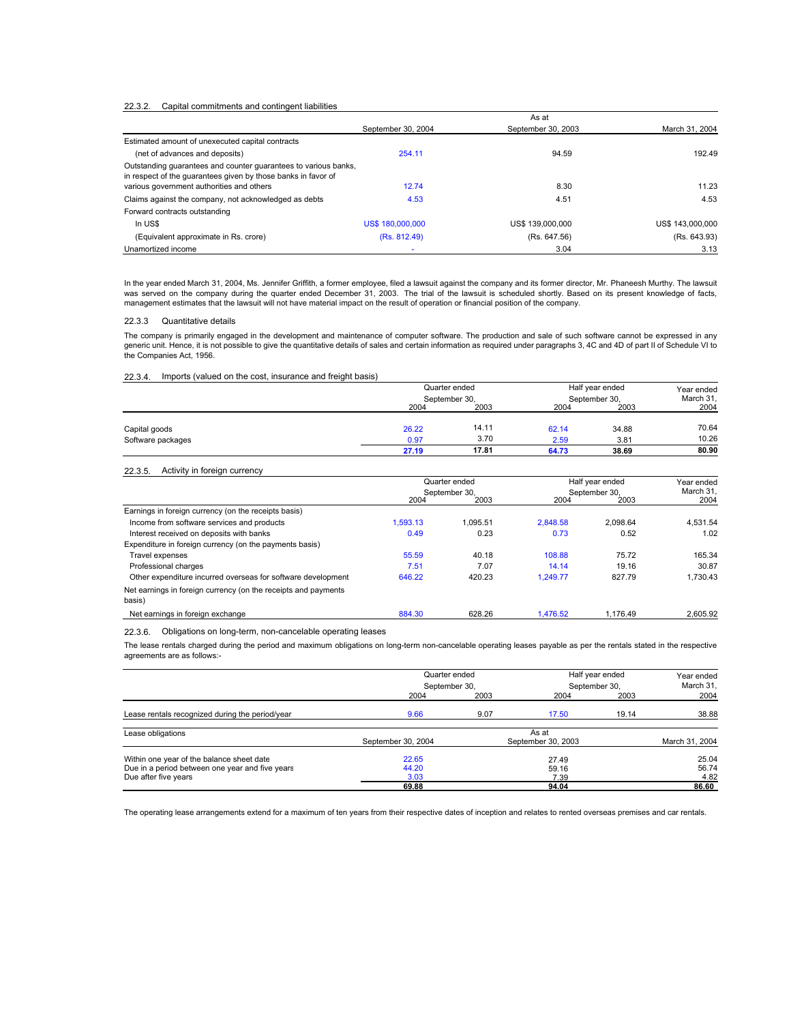#### 22.3.2. Capital commitments and contingent liabilities

|                                                                                                                                  |                    | As at              |                  |
|----------------------------------------------------------------------------------------------------------------------------------|--------------------|--------------------|------------------|
|                                                                                                                                  | September 30, 2004 | September 30, 2003 | March 31, 2004   |
| Estimated amount of unexecuted capital contracts                                                                                 |                    |                    |                  |
| (net of advances and deposits)                                                                                                   | 254.11             | 94.59              | 192.49           |
| Outstanding guarantees and counter guarantees to various banks,<br>in respect of the quarantees given by those banks in favor of |                    |                    |                  |
| various government authorities and others                                                                                        | 12.74              | 8.30               | 11.23            |
| Claims against the company, not acknowledged as debts                                                                            | 4.53               | 4.51               | 4.53             |
| Forward contracts outstanding                                                                                                    |                    |                    |                  |
| In US\$                                                                                                                          | US\$ 180,000,000   | US\$ 139,000,000   | US\$ 143,000,000 |
| (Equivalent approximate in Rs. crore)                                                                                            | (Rs. 812.49)       | (Rs. 647.56)       | (Rs. 643.93)     |
| Unamortized income                                                                                                               | -                  | 3.04               | 3.13             |

In the year ended March 31, 2004, Ms. Jennifer Griffith, a former employee, filed a lawsuit against the company and its former director, Mr. Phaneesh Murthy. The lawsuit was served on the company during the quarter ended December 31, 2003. The trial of the lawsuit is scheduled shortly. Based on its present knowledge of facts, management estimates that the lawsuit will not have material impact on the result of operation or financial position of the company.

#### 22.3.3 Quantitative details

The company is primarily engaged in the development and maintenance of computer software. The production and sale of such software cannot be expressed in any generic unit. Hence, it is not possible to give the quantitative details of sales and certain information as required under paragraphs 3, 4C and 4D of part II of Schedule VI to the Companies Act, 1956.

### 22.3.4. Imports (valued on the cost, insurance and freight basis)

|                   |       | Quarter ended | Half year ended |               | Year ended |  |
|-------------------|-------|---------------|-----------------|---------------|------------|--|
|                   |       | September 30, |                 | September 30. |            |  |
|                   | 2004  | 2003          | 2004            | 2003          | 2004       |  |
| Capital goods     | 26.22 | 14.11         | 62.14           | 34.88         | 70.64      |  |
| Software packages | 0.97  | 3.70          | 2.59            | 3.81          | 10.26      |  |
|                   | 27.19 | 17.81         | 64.73           | 38.69         | 80.90      |  |

#### 22.3.5. Activity in foreign currency

|                                                                          | Quarter ended |               | Half year ended |          | Year ended |
|--------------------------------------------------------------------------|---------------|---------------|-----------------|----------|------------|
|                                                                          |               | September 30. | September 30.   |          | March 31.  |
|                                                                          | 2004          | 2003          | 2004            | 2003     | 2004       |
| Earnings in foreign currency (on the receipts basis)                     |               |               |                 |          |            |
| Income from software services and products                               | 1.593.13      | 1.095.51      | 2.848.58        | 2.098.64 | 4.531.54   |
| Interest received on deposits with banks                                 | 0.49          | 0.23          | 0.73            | 0.52     | 1.02       |
| Expenditure in foreign currency (on the payments basis)                  |               |               |                 |          |            |
| Travel expenses                                                          | 55.59         | 40.18         | 108.88          | 75.72    | 165.34     |
| Professional charges                                                     | 7.51          | 7.07          | 14.14           | 19.16    | 30.87      |
| Other expenditure incurred overseas for software development             | 646.22        | 420.23        | 1.249.77        | 827.79   | 1.730.43   |
| Net earnings in foreign currency (on the receipts and payments<br>basis) |               |               |                 |          |            |
| Net earnings in foreign exchange                                         | 884.30        | 628.26        | 1.476.52        | 1.176.49 | 2.605.92   |

22.3.6. Obligations on long-term, non-cancelable operating leases

The lease rentals charged during the period and maximum obligations on long-term non-cancelable operating leases payable as per the rentals stated in the respective agreements are as follows:-

|                                                 | Quarter ended      |      |                    | Half year ended |                   |
|-------------------------------------------------|--------------------|------|--------------------|-----------------|-------------------|
|                                                 | September 30.      |      |                    | September 30.   | March 31,<br>2004 |
|                                                 | 2004               | 2003 | 2004               | 2003            |                   |
| Lease rentals recognized during the period/year | 9.66               | 9.07 | 17.50              | 19.14           | 38.88             |
| Lease obligations                               |                    |      | As at              |                 |                   |
|                                                 | September 30, 2004 |      | September 30, 2003 |                 | March 31, 2004    |
| Within one year of the balance sheet date       | 22.65              |      | 27.49              |                 | 25.04             |
| Due in a period between one year and five years | 44.20              |      | 59.16              |                 | 56.74             |
| Due after five years                            | 3.03               |      | 7.39               |                 | 4.82              |
|                                                 | 69.88              |      | 94.04              |                 | 86.60             |

The operating lease arrangements extend for a maximum of ten years from their respective dates of inception and relates to rented overseas premises and car rentals.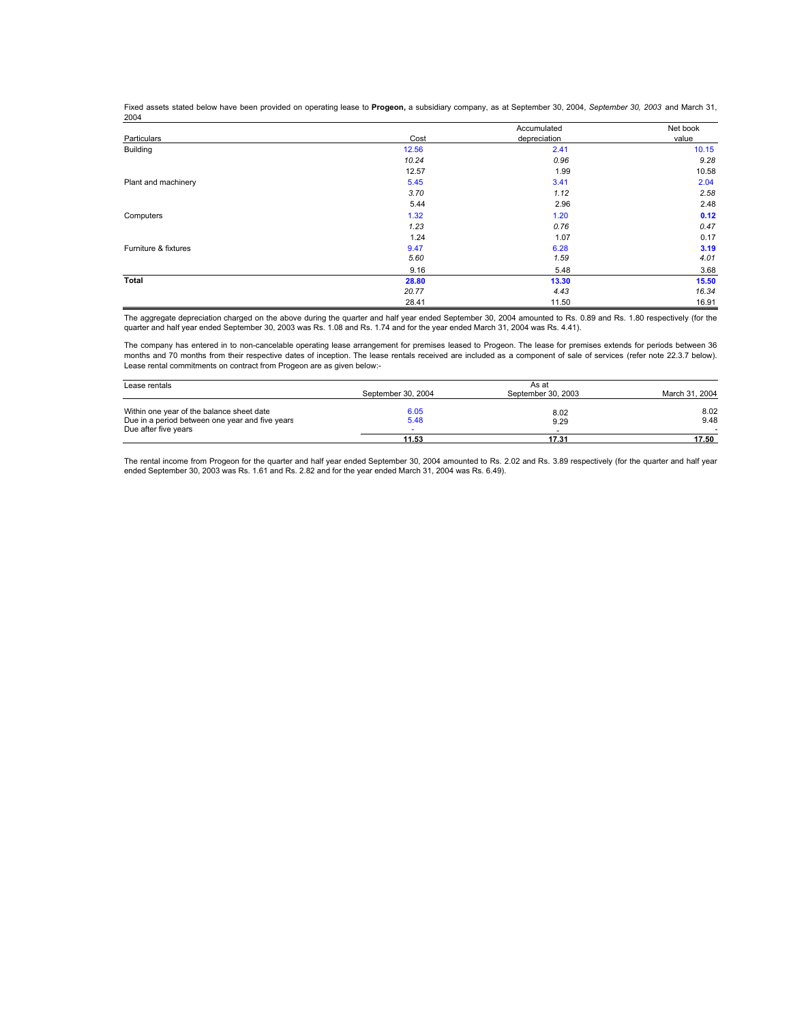Fixed assets stated below have been provided on operating lease to **Progeon,** a subsidiary company, as at September 30, 2004, *September 30, 2003* and March 31, 2004

|                      |       | Accumulated  | Net book |
|----------------------|-------|--------------|----------|
| Particulars          | Cost  | depreciation | value    |
| Building             | 12.56 | 2.41         | 10.15    |
|                      | 10.24 | 0.96         | 9.28     |
|                      | 12.57 | 1.99         | 10.58    |
| Plant and machinery  | 5.45  | 3.41         | 2.04     |
|                      | 3.70  | 1.12         | 2.58     |
|                      | 5.44  | 2.96         | 2.48     |
| Computers            | 1.32  | 1.20         | 0.12     |
|                      | 1.23  | 0.76         | 0.47     |
|                      | 1.24  | 1.07         | 0.17     |
| Furniture & fixtures | 9.47  | 6.28         | 3.19     |
|                      | 5.60  | 1.59         | 4.01     |
|                      | 9.16  | 5.48         | 3.68     |
| Total                | 28.80 | 13.30        | 15.50    |
|                      | 20.77 | 4.43         | 16.34    |
|                      | 28.41 | 11.50        | 16.91    |

The aggregate depreciation charged on the above during the quarter and half year ended September 30, 2004 amounted to Rs. 0.89 and Rs. 1.80 respectively (for the<br>quarter and half year ended September 30, 2003 was Rs. 1.08

The company has entered in to non-cancelable operating lease arrangement for premises leased to Progeon. The lease for premises extends for periods between 36<br>months and 70 months from their respective dates of inception. Lease rental commitments on contract from Progeon are as given below:-

| Lease rentals                                   | As at              |                    |                |  |  |  |
|-------------------------------------------------|--------------------|--------------------|----------------|--|--|--|
|                                                 | September 30, 2004 | September 30, 2003 | March 31, 2004 |  |  |  |
|                                                 |                    |                    |                |  |  |  |
| Within one year of the balance sheet date       | 6.05               | 8.02               | 8.02           |  |  |  |
| Due in a period between one year and five years | 5.48               | 9.29               | 9.48           |  |  |  |
| Due after five years                            |                    |                    |                |  |  |  |
|                                                 | 11.53              | 17.31              | 17.50          |  |  |  |

The rental income from Progeon for the quarter and half year ended September 30, 2004 amounted to Rs. 2.02 and Rs. 3.89 respectively (for the quarter and half year<br>ended September 30, 2003 was Rs. 1.61 and Rs. 2.82 and for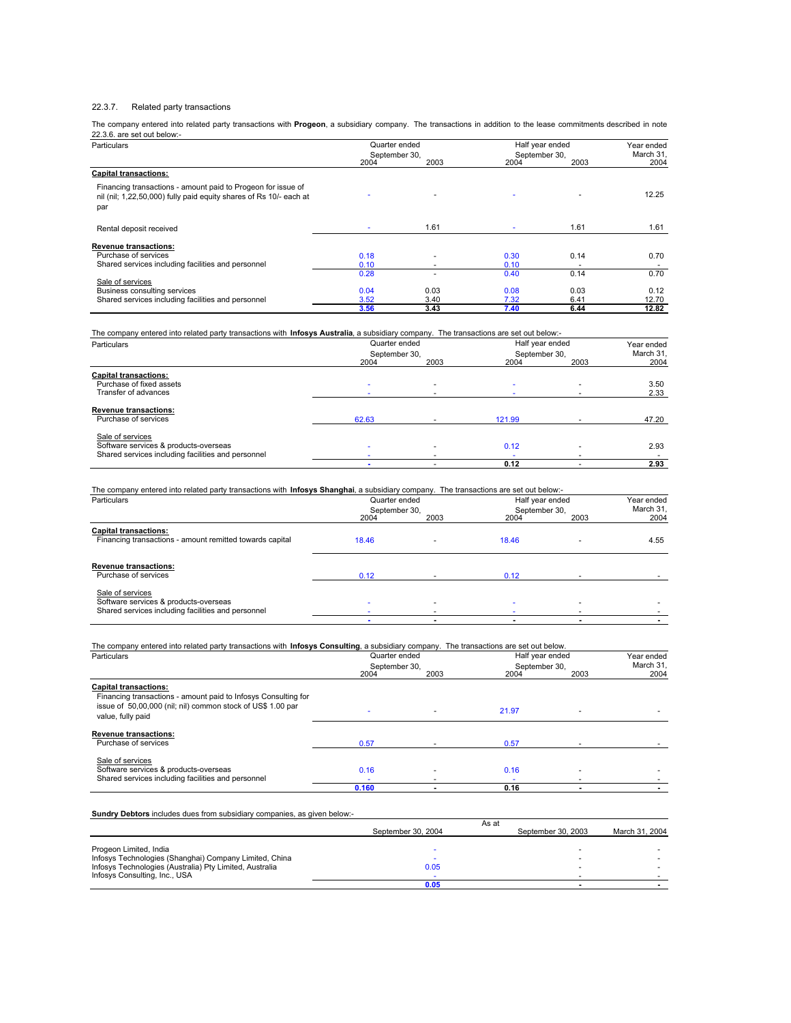#### 22.3.7. Related party transactions

The company entered into related party transactions with **Progeon**, a subsidiary company. The transactions in addition to the lease commitments described in note<br>22.3.6. are set out below:-<br>Particulars Half year ended Half

| <b>Particulars</b>                                                                                                                        | Quarter ended |      | Half year ended |      | Year ended |
|-------------------------------------------------------------------------------------------------------------------------------------------|---------------|------|-----------------|------|------------|
|                                                                                                                                           | September 30. |      | September 30.   |      | March 31.  |
|                                                                                                                                           | 2004          | 2003 | 2004            | 2003 | 2004       |
| <b>Capital transactions:</b>                                                                                                              |               |      |                 |      |            |
| Financing transactions - amount paid to Progeon for issue of<br>nil (nil; 1,22,50,000) fully paid equity shares of Rs 10/- each at<br>par |               | ۰    |                 |      | 12.25      |
| Rental deposit received                                                                                                                   |               | 1.61 |                 | 1.61 | 1.61       |
| <b>Revenue transactions:</b>                                                                                                              |               |      |                 |      |            |
| Purchase of services                                                                                                                      | 0.18          | ٠    | 0.30            | 0.14 | 0.70       |
| Shared services including facilities and personnel                                                                                        | 0.10          | ۰    | 0.10            |      |            |
|                                                                                                                                           | 0.28          | ٠    | 0.40            | 0.14 | 0.70       |
| Sale of services                                                                                                                          |               |      |                 |      |            |
| Business consulting services                                                                                                              | 0.04          | 0.03 | 0.08            | 0.03 | 0.12       |
| Shared services including facilities and personnel                                                                                        | 3.52          | 3.40 | 7.32            | 6.41 | 12.70      |
|                                                                                                                                           | 3.56          | 3.43 | 7.40            | 6.44 | 12.82      |

The company entered into related party transactions with **Infosys Australia**, a subsidiary company. The transactions are set out below:-

| <b>Particulars</b>                                 | Quarter ended |      | Half year ended |                          | Year ended<br>March 31, |
|----------------------------------------------------|---------------|------|-----------------|--------------------------|-------------------------|
|                                                    | September 30. |      | September 30.   |                          |                         |
|                                                    | 2004          | 2003 | 2004            | 2003                     | 2004                    |
| <b>Capital transactions:</b>                       |               |      |                 |                          |                         |
| Purchase of fixed assets                           |               |      |                 |                          | 3.50                    |
| Transfer of advances                               |               |      |                 |                          | 2.33                    |
| <b>Revenue transactions:</b>                       |               |      |                 |                          |                         |
| Purchase of services                               | 62.63         |      | 121.99          | $\overline{a}$           | 47.20                   |
| Sale of services                                   |               |      |                 |                          |                         |
| Software services & products-overseas              |               |      | 0.12            |                          | 2.93                    |
| Shared services including facilities and personnel |               |      |                 | $\overline{\phantom{a}}$ |                         |
|                                                    |               |      | 0.12            |                          | 2.93                    |

| The company entered into related party transactions with <b>Infosys Shanghai</b> , a subsidiary company. The transactions are set out below:- |               |      |                 |      |            |
|-----------------------------------------------------------------------------------------------------------------------------------------------|---------------|------|-----------------|------|------------|
| Particulars                                                                                                                                   | Quarter ended |      | Half year ended |      | Year ended |
|                                                                                                                                               | September 30. |      | September 30.   |      | March 31.  |
|                                                                                                                                               | 2004          | 2003 | 2004            | 2003 | 2004       |
| <b>Capital transactions:</b>                                                                                                                  |               |      |                 |      |            |
| Financing transactions - amount remitted towards capital                                                                                      | 18.46         |      | 18.46           |      | 4.55       |
|                                                                                                                                               |               |      |                 |      |            |
| <b>Revenue transactions:</b>                                                                                                                  |               |      |                 |      |            |
| Purchase of services                                                                                                                          | 0.12          |      | 0.12            |      |            |
|                                                                                                                                               |               |      |                 |      |            |
| Sale of services<br>Software services & products-overseas                                                                                     |               |      |                 | ۰    |            |
| Shared services including facilities and personnel                                                                                            |               |      |                 | ۰    |            |
|                                                                                                                                               |               |      |                 |      |            |

The company entered into related party transactions with **Infosys Consulting**, a subsidiary company. The transactions are set out below.

| <b>Particulars</b>                                                                          | Quarter ended |                    | Half year ended |                    | Year ended     |  |
|---------------------------------------------------------------------------------------------|---------------|--------------------|-----------------|--------------------|----------------|--|
|                                                                                             | September 30, |                    | September 30,   |                    | March 31.      |  |
|                                                                                             | 2004          | 2003               | 2004            | 2003               | 2004           |  |
| <b>Capital transactions:</b>                                                                |               |                    |                 |                    |                |  |
| Financing transactions - amount paid to Infosys Consulting for                              |               |                    |                 |                    |                |  |
| issue of 50,00,000 (nil; nil) common stock of US\$ 1.00 par                                 |               |                    |                 |                    |                |  |
| value, fully paid                                                                           |               | ٠                  | 21.97           |                    |                |  |
|                                                                                             |               |                    |                 |                    |                |  |
| <b>Revenue transactions:</b>                                                                |               |                    |                 |                    |                |  |
| Purchase of services                                                                        | 0.57          |                    | 0.57            |                    |                |  |
|                                                                                             |               |                    |                 |                    |                |  |
| Sale of services                                                                            |               |                    |                 |                    |                |  |
| Software services & products-overseas<br>Shared services including facilities and personnel | 0.16          |                    | 0.16            |                    |                |  |
|                                                                                             | 0.160         |                    | 0.16            |                    |                |  |
|                                                                                             |               |                    |                 |                    |                |  |
|                                                                                             |               |                    |                 |                    |                |  |
| Sundry Debtors includes dues from subsidiary companies, as given below:-                    |               |                    |                 |                    |                |  |
|                                                                                             |               |                    | As at           |                    |                |  |
|                                                                                             |               | September 30, 2004 |                 | September 30, 2003 | March 31, 2004 |  |
|                                                                                             |               |                    |                 |                    |                |  |
| Progeon Limited, India                                                                      |               |                    |                 |                    |                |  |
| Infosys Technologies (Shanghai) Company Limited, China                                      |               |                    |                 |                    |                |  |
| Infosys Technologies (Australia) Pty Limited, Australia<br>Infosys Consulting, Inc., USA    |               | 0.05               |                 |                    |                |  |
|                                                                                             |               | 0.05               |                 | ۰                  |                |  |
|                                                                                             |               |                    |                 |                    |                |  |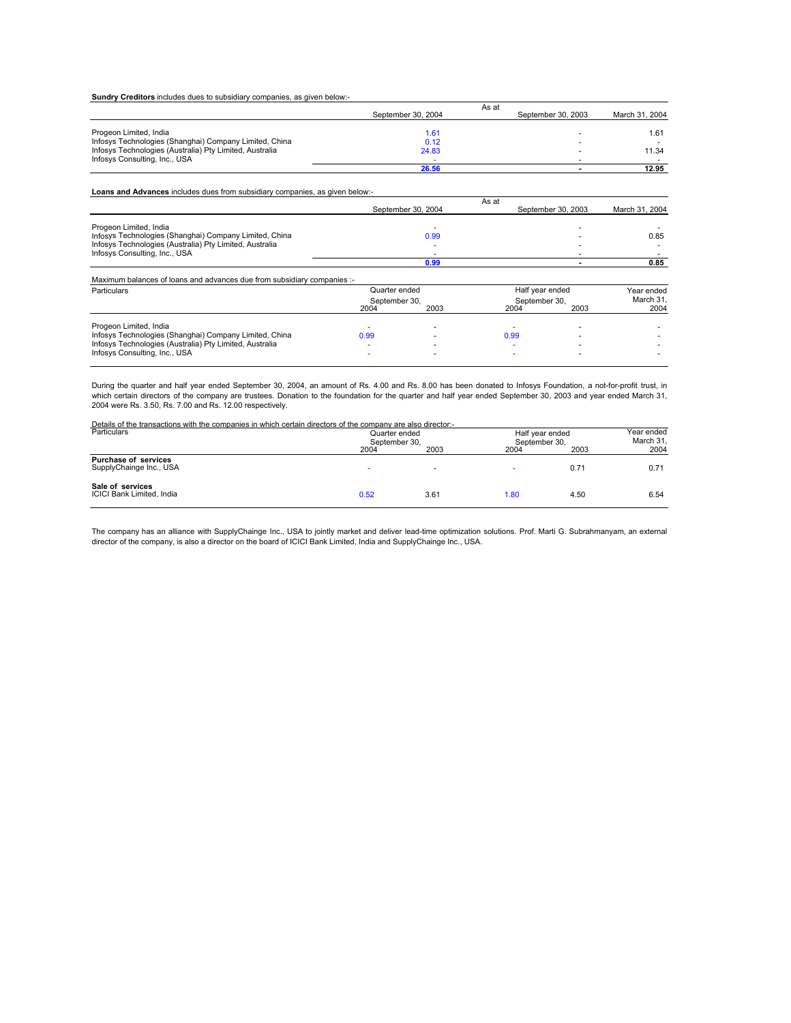#### **Sundry Creditors** includes dues to subsidiary companies, as given below:-

|                                                                              |               |                    | As at           |                    |                |
|------------------------------------------------------------------------------|---------------|--------------------|-----------------|--------------------|----------------|
|                                                                              |               | September 30, 2004 |                 | September 30, 2003 | March 31, 2004 |
| Progeon Limited, India                                                       |               | 1.61               |                 |                    | 1.61           |
| Infosys Technologies (Shanghai) Company Limited, China                       |               | 0.12               |                 |                    |                |
| Infosys Technologies (Australia) Pty Limited, Australia                      |               | 24.83              |                 |                    | 11.34          |
| Infosys Consulting, Inc., USA                                                |               |                    |                 |                    |                |
|                                                                              |               | 26.56              |                 |                    | 12.95          |
| Loans and Advances includes dues from subsidiary companies, as given below:- |               |                    |                 |                    |                |
|                                                                              |               |                    | As at           |                    |                |
|                                                                              |               | September 30, 2004 |                 | September 30, 2003 | March 31, 2004 |
| Progeon Limited, India                                                       |               |                    |                 |                    |                |
| Infosys Technologies (Shanghai) Company Limited, China                       |               | 0.99               |                 |                    | 0.85           |
| Infosys Technologies (Australia) Pty Limited, Australia                      |               |                    |                 |                    |                |
| Infosys Consulting, Inc., USA                                                |               |                    |                 |                    |                |
|                                                                              |               | 0.99               |                 |                    | 0.85           |
| Maximum balances of loans and advances due from subsidiary companies :-      |               |                    |                 |                    |                |
| <b>Particulars</b>                                                           | Quarter ended |                    | Half year ended |                    | Year ended     |
|                                                                              | September 30, |                    | September 30,   |                    | March 31,      |
|                                                                              | 2004          | 2003               | 2004            | 2003               | 2004           |
| Progeon Limited, India                                                       |               |                    |                 |                    |                |
| Infosys Technologies (Shanghai) Company Limited, China                       | 0.99          |                    | 0.99            |                    |                |
| Infosys Technologies (Australia) Pty Limited, Australia                      |               |                    |                 |                    |                |
| Infosys Consulting, Inc., USA                                                |               |                    |                 |                    |                |

During the quarter and half year ended September 30, 2004, an amount of Rs. 4.00 and Rs. 8.00 has been donated to Infosys Foundation, a not-for-profit trust, in<br>which certain directors of the company are trustees. Donation 2004 were Rs. 3.50, Rs. 7.00 and Rs. 12.00 respectively.

| Details of the transactions with the companies in which certain directors of the company are also director:- |               |               |                 |               |            |
|--------------------------------------------------------------------------------------------------------------|---------------|---------------|-----------------|---------------|------------|
| <b>Particulars</b>                                                                                           | Quarter ended |               | Half vear ended |               | Year ended |
|                                                                                                              |               | September 30. |                 | September 30. | March 31.  |
|                                                                                                              | 2004          | 2003          | 2004            | 2003          | 2004       |
| <b>Purchase of services</b><br>SupplyChainge Inc., USA                                                       |               |               |                 | 0.71          | 0.71       |
| Sale of services<br><b>ICICI Bank Limited, India</b>                                                         | 0.52          | 3.61          | 1.80            | 4.50          | 6.54       |

The company has an alliance with SupplyChainge Inc., USA to jointly market and deliver lead-time optimization solutions. Prof. Marti G. Subrahmanyam, an external<br>director of the company, is also a director on the board of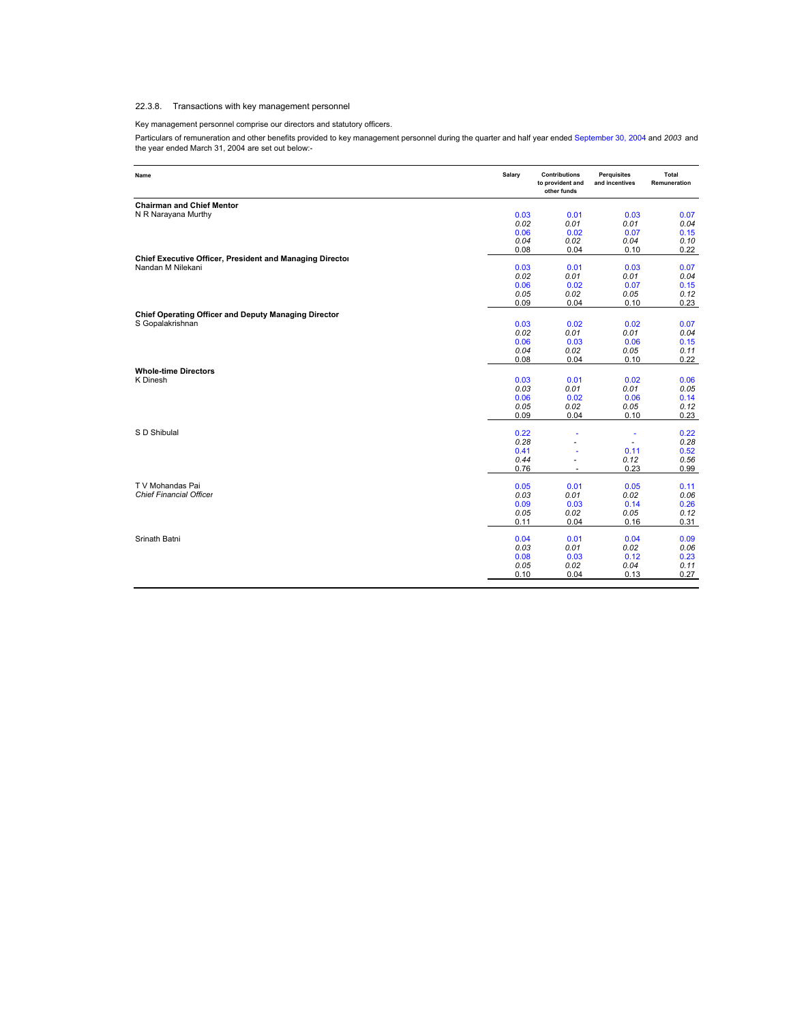#### 22.3.8. Transactions with key management personnel

# Key management personnel comprise our directors and statutory officers.

Particulars of remuneration and other benefits provided to key management personnel during the quarter and half year ended September 30, 2004 and 2003 and<br>the year ended March 31, 2004 are set out below:-

| Name                                                     | Salary | <b>Contributions</b><br>to provident and<br>other funds | Perquisites<br>and incentives | Total<br>Remuneration |
|----------------------------------------------------------|--------|---------------------------------------------------------|-------------------------------|-----------------------|
| <b>Chairman and Chief Mentor</b>                         |        |                                                         |                               |                       |
| N R Narayana Murthy                                      | 0.03   | 0.01                                                    | 0.03                          | 0.07                  |
|                                                          | 0.02   | 0.01                                                    | 0.01                          | 0.04                  |
|                                                          | 0.06   | 0.02                                                    | 0.07                          | 0.15                  |
|                                                          | 0.04   | 0.02                                                    | 0.04                          | 0.10                  |
|                                                          | 0.08   | 0.04                                                    | 0.10                          | 0.22                  |
| Chief Executive Officer, President and Managing Director |        |                                                         |                               |                       |
| Nandan M Nilekani                                        | 0.03   | 0.01                                                    | 0.03                          | 0.07                  |
|                                                          | 0.02   | 0.01                                                    | 0.01                          | 0.04                  |
|                                                          | 0.06   | 0.02                                                    | 0.07                          | 0.15                  |
|                                                          | 0.05   | 0.02                                                    | 0.05                          | 0.12                  |
|                                                          | 0.09   | 0.04                                                    | 0.10                          | 0.23                  |
| Chief Operating Officer and Deputy Managing Director     |        |                                                         |                               |                       |
| S Gopalakrishnan                                         | 0.03   | 0.02                                                    | 0.02                          | 0.07                  |
|                                                          | 0.02   | 0.01                                                    | 0.01                          | 0.04                  |
|                                                          | 0.06   | 0.03                                                    | 0.06                          | 0.15                  |
|                                                          | 0.04   | 0.02                                                    | 0.05                          | 0.11                  |
|                                                          | 0.08   | 0.04                                                    | 0.10                          | 0.22                  |
| <b>Whole-time Directors</b>                              |        |                                                         |                               |                       |
| K Dinesh                                                 | 0.03   | 0.01                                                    | 0.02                          |                       |
|                                                          | 0.03   | 0.01                                                    | 0.01                          | 0.06<br>0.05          |
|                                                          | 0.06   |                                                         | 0.06                          |                       |
|                                                          | 0.05   | 0.02<br>0.02                                            | 0.05                          | 0.14<br>0.12          |
|                                                          | 0.09   | 0.04                                                    | 0.10                          | 0.23                  |
|                                                          |        |                                                         |                               |                       |
| S D Shibulal                                             | 0.22   | ä                                                       |                               | 0.22                  |
|                                                          | 0.28   |                                                         |                               | 0.28                  |
|                                                          | 0.41   |                                                         | 0.11                          | 0.52                  |
|                                                          | 0.44   | $\overline{a}$                                          | 0.12                          | 0.56                  |
|                                                          | 0.76   |                                                         | 0.23                          | 0.99                  |
|                                                          |        |                                                         |                               |                       |
| T V Mohandas Pai                                         | 0.05   | 0.01                                                    | 0.05                          | 0.11                  |
| <b>Chief Financial Officer</b>                           | 0.03   | 0.01                                                    | 0.02                          | 0.06                  |
|                                                          | 0.09   | 0.03                                                    | 0.14                          | 0.26                  |
|                                                          | 0.05   | 0.02                                                    | 0.05                          | 0.12                  |
|                                                          | 0.11   | 0.04                                                    | 0.16                          | 0.31                  |
|                                                          |        |                                                         |                               |                       |
| Srinath Batni                                            | 0.04   | 0.01                                                    | 0.04                          | 0.09                  |
|                                                          | 0.03   | 0.01                                                    | 0.02                          | 0.06                  |
|                                                          | 0.08   | 0.03                                                    | 0.12                          | 0.23                  |
|                                                          | 0.05   | 0.02                                                    | 0.04                          | 0.11                  |
|                                                          | 0.10   | 0.04                                                    | 0.13                          | 0.27                  |
|                                                          |        |                                                         |                               |                       |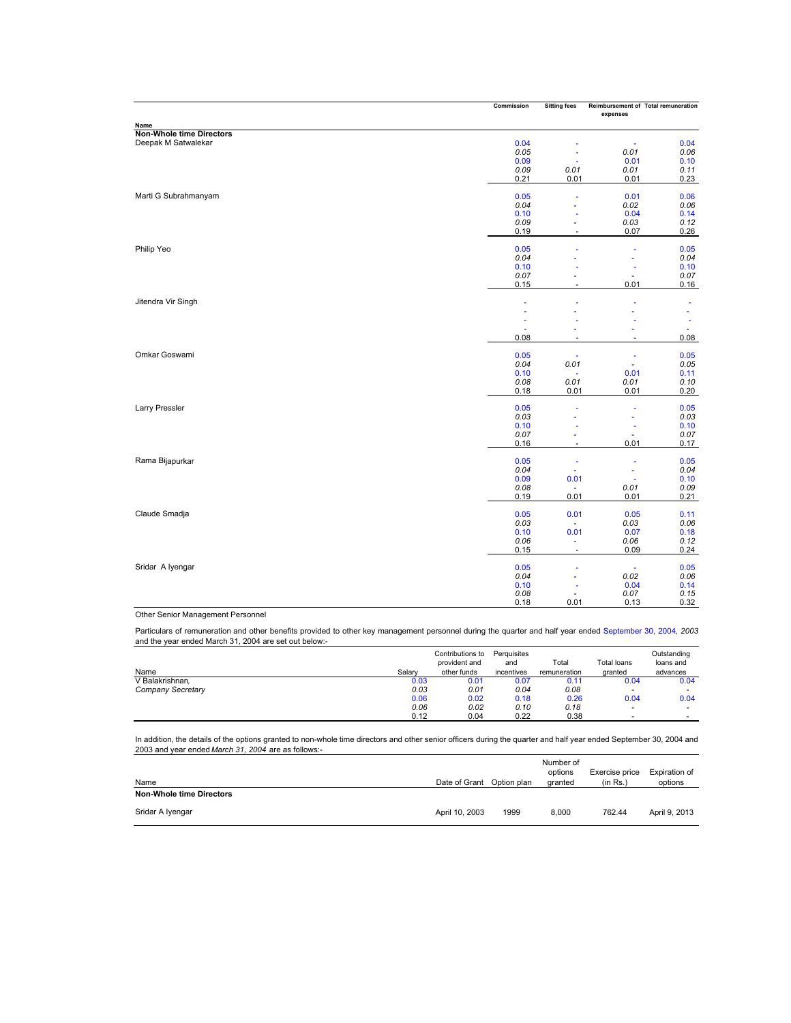|                                 | Commission   | <b>Sitting fees</b>                                  | expenses                      | Reimbursement of Total remuneration |
|---------------------------------|--------------|------------------------------------------------------|-------------------------------|-------------------------------------|
| Name                            |              |                                                      |                               |                                     |
| <b>Non-Whole time Directors</b> |              |                                                      |                               |                                     |
| Deepak M Satwalekar             | 0.04         |                                                      | ٠                             | 0.04                                |
|                                 | 0.05         | ÷,                                                   | 0.01                          | 0.06                                |
|                                 | 0.09         |                                                      | 0.01                          | 0.10                                |
|                                 | 0.09         | 0.01                                                 | 0.01                          | 0.11                                |
|                                 | 0.21         | 0.01                                                 | 0.01                          | 0.23                                |
| Marti G Subrahmanyam            | 0.05         |                                                      | 0.01                          | 0.06                                |
|                                 | 0.04         |                                                      | 0.02                          | 0.06                                |
|                                 | 0.10         |                                                      | 0.04                          | 0.14                                |
|                                 | 0.09         |                                                      | 0.03                          | 0.12                                |
|                                 | 0.19         | $\overline{\phantom{a}}$                             | 0.07                          | 0.26                                |
| Philip Yeo                      | 0.05         |                                                      | ä                             | 0.05                                |
|                                 | 0.04         |                                                      | $\overline{\phantom{a}}$      | 0.04                                |
|                                 | 0.10         |                                                      | ÷                             | 0.10                                |
|                                 | 0.07         |                                                      | ٠                             | 0.07                                |
|                                 | 0.15         | ÷,                                                   | 0.01                          | 0.16                                |
| Jitendra Vir Singh              |              |                                                      | ä                             | ÷                                   |
|                                 | ٠            |                                                      | ä,                            | $\overline{\phantom{a}}$            |
|                                 |              |                                                      |                               | ٠                                   |
|                                 |              |                                                      | ÷.                            | $\overline{\phantom{a}}$            |
|                                 | 0.08         | ٠                                                    | $\sim$                        | 0.08                                |
| Omkar Goswami                   |              |                                                      |                               |                                     |
|                                 | 0.05<br>0.04 | 0.01                                                 | ÷<br>$\overline{\phantom{a}}$ | 0.05<br>0.05                        |
|                                 | 0.10         |                                                      | 0.01                          | 0.11                                |
|                                 | 0.08         | 0.01                                                 | 0.01                          | 0.10                                |
|                                 | 0.18         | 0.01                                                 | 0.01                          | 0.20                                |
| Larry Pressler                  | 0.05         |                                                      |                               |                                     |
|                                 | 0.03         |                                                      | ۰<br>٠                        | 0.05<br>0.03                        |
|                                 | 0.10         |                                                      | ٠                             | 0.10                                |
|                                 | 0.07         |                                                      |                               | 0.07                                |
|                                 | 0.16         | ä,                                                   | 0.01                          | 0.17                                |
|                                 |              |                                                      |                               |                                     |
| Rama Bijapurkar                 | 0.05         | ÷                                                    | ä                             | 0.05                                |
|                                 | 0.04         |                                                      | $\overline{\phantom{a}}$      | 0.04                                |
|                                 | 0.09<br>0.08 | 0.01                                                 | 0.01                          | 0.10<br>0.09                        |
|                                 | 0.19         | $\overline{\phantom{a}}$<br>0.01                     | 0.01                          | 0.21                                |
|                                 |              |                                                      |                               |                                     |
| Claude Smadja                   | 0.05         | 0.01                                                 | 0.05                          | 0.11                                |
|                                 | 0.03         |                                                      | 0.03                          | 0.06                                |
|                                 | 0.10         | 0.01                                                 | 0.07                          | 0.18                                |
|                                 | 0.06<br>0.15 | $\overline{\phantom{a}}$<br>$\overline{\phantom{a}}$ | 0.06<br>0.09                  | 0.12<br>0.24                        |
|                                 |              |                                                      |                               |                                     |
| Sridar A lyengar                | 0.05         |                                                      | $\sim$                        | 0.05                                |
|                                 | 0.04         |                                                      | 0.02                          | 0.06                                |
|                                 | 0.10         |                                                      | 0.04                          | 0.14                                |
|                                 | 0.08         |                                                      | 0.07                          | 0.15                                |
|                                 | 0.18         | 0.01                                                 | 0.13                          | 0.32                                |

# Other Senior Management Personnel

Particulars of remuneration and other benefits provided to other key management personnel during the quarter and half year ended September 30, 2004, *2003*<br>and the year ended March 31, 2004 are set out below:-

|                   |        | Contributions to<br>provident and | Perguisites<br>and | Total        | Total loans | Outstanding<br>loans and |
|-------------------|--------|-----------------------------------|--------------------|--------------|-------------|--------------------------|
| Name              | Salarv | other funds                       | incentives         | remuneration | granted     | advances                 |
| V Balakrishnan.   | 0.03   | 0.01                              | 0.07               | 0.11         | 0.04        | 0.04                     |
| Company Secretary | 0.03   | 0.01                              | 0.04               | 0.08         | -           |                          |
|                   | 0.06   | 0.02                              | 0.18               | 0.26         | 0.04        | 0.04                     |
|                   | 0.06   | 0.02                              | 0.10               | 0.18         | -           |                          |
|                   | 0.12   | 0.04                              | 0.22               | 0.38         | -           |                          |

In addition, the details of the options granted to non-whole time directors and other senior officers during the quarter and half year ended September 30, 2004 and<br>2003 and year ended *March 31, 2004* are as follows:-

| Name                     | Date of Grant  | Option plan | Number of<br>options<br>granted | Exercise price<br>(in Rs.) | Expiration of<br>options |
|--------------------------|----------------|-------------|---------------------------------|----------------------------|--------------------------|
| Non-Whole time Directors |                |             |                                 |                            |                          |
| Sridar A Ivengar         | April 10, 2003 | 1999        | 8.000                           | 762.44                     | April 9, 2013            |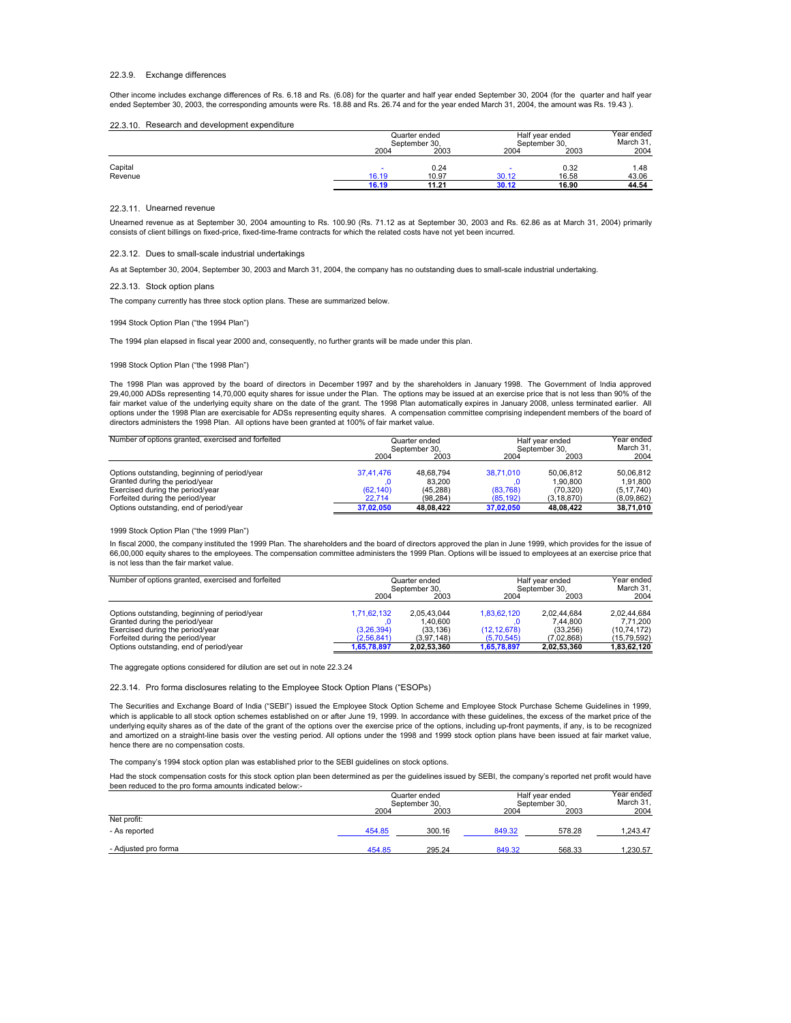#### 22.3.9. Exchange differences

Other income includes exchange differences of Rs. 6.18 and Rs. (6.08) for the quarter and half year ended September 30, 2004 (for the quarter and half year ended September 30, 2003, the corresponding amounts were Rs. 18.88 and Rs. 26.74 and for the year ended March 31, 2004, the amount was Rs. 19.43 ).

#### 22.3.10. Research and development expenditure

|         |       | Quarter ended<br>September 30. |       | Half year ended<br>September 30. |       |
|---------|-------|--------------------------------|-------|----------------------------------|-------|
|         | 2004  | 2003                           | 2004  | 2003                             | 2004  |
| Capital | -     | 0.24                           |       | 0.32                             | 1.48  |
| Revenue | 16.19 | 10.97                          | 30.12 | 16.58                            | 43.06 |
|         | 16.19 | 11.21                          | 30.12 | 16.90                            | 44.54 |

#### 22.3.11. Unearned revenue

Unearned revenue as at September 30, 2004 amounting to Rs. 100.90 (Rs. 71.12 as at September 30, 2003 and Rs. 62.86 as at March 31, 2004) primarily consists of client billings on fixed-price, fixed-time-frame contracts for which the related costs have not yet been incurred.

### 22.3.12. Dues to small-scale industrial undertakings

As at September 30, 2004, September 30, 2003 and March 31, 2004, the company has no outstanding dues to small-scale industrial undertaking.

#### 22.3.13. Stock option plans

The company currently has three stock option plans. These are summarized below.

#### 1994 Stock Option Plan ("the 1994 Plan")

The 1994 plan elapsed in fiscal year 2000 and, consequently, no further grants will be made under this plan.

#### 1998 Stock Option Plan ("the 1998 Plan")

The 1998 Plan was approved by the board of directors in December 1997 and by the shareholders in January 1998. The Government of India approved<br>29,40,000 ADSs representing 14,70,000 equity shares for issue under the Plan. fair market value of the underlying equity share on the date of the grant. The 1998 Plan automatically expires in January 2008, unless terminated earlier. All options under the 1998 Plan are exercisable for ADSs representing equity shares. A compensation committee comprising independent members of the board of directors administers the 1998 Plan. All options have been granted at 100% of fair market value.

| Number of options granted, exercised and forfeited | Quarter ended<br>September 30. |           | Half vear ended<br>September 30. |              | Year ended<br>March 31. |
|----------------------------------------------------|--------------------------------|-----------|----------------------------------|--------------|-------------------------|
|                                                    | 2004                           | 2003      | 2004                             | 2003         | 2004                    |
| Options outstanding, beginning of period/year      | 37.41.476                      | 48.68.794 | 38.71.010                        | 50.06.812    | 50.06.812               |
| Granted during the period/year                     |                                | 83.200    |                                  | 1.90.800     | 1.91.800                |
| Exercised during the period/year                   | (62.140)                       | (45.288)  | (83.768)                         | (70.320)     | (5, 17, 740)            |
| Forfeited during the period/year                   | 22.714                         | (98.284)  | (85, 192)                        | (3, 18, 870) | (8,09,862)              |
| Options outstanding, end of period/year            | 37.02.050                      | 48.08.422 | 37.02.050                        | 48.08.422    | 38.71.010               |

1999 Stock Option Plan ("the 1999 Plan")

In fiscal 2000, the company instituted the 1999 Plan. The shareholders and the board of directors approved the plan in June 1999, which provides for the issue of 66,00,000 equity shares to the employees. The compensation committee administers the 1999 Plan. Options will be issued to employees at an exercise price that is not less than the fair market value.

| Number of options granted, exercised and forfeited | Quarter ended<br>September 30.<br>2004<br>2003 |             | Half vear ended<br>September 30.<br>2004 | Year ended<br>March 31.<br>2004 |               |
|----------------------------------------------------|------------------------------------------------|-------------|------------------------------------------|---------------------------------|---------------|
|                                                    |                                                |             |                                          | 2003                            |               |
| Options outstanding, beginning of period/year      | 1.71.62.132                                    | 2.05.43.044 | 1.83.62.120                              | 2.02.44.684                     | 2.02.44.684   |
| Granted during the period/year                     |                                                | 1.40.600    |                                          | 7.44.800                        | 7.71.200      |
| Exercised during the period/year                   | (3,26,394)                                     | (33.136)    | (12.12.678)                              | (33, 256)                       | (10, 74, 172) |
| Forfeited during the period/year                   | (2.56.841)                                     | (3.97.148)  | (5.70.545)                               | (7.02.868)                      | (15, 79, 592) |
| Options outstanding, end of period/year            | 1.65.78.897                                    | 2.02.53.360 | 1.65.78.897                              | 2.02.53.360                     | 1.83.62.120   |

The aggregate options considered for dilution are set out in note 22.3.24

#### 22.3.14. Pro forma disclosures relating to the Employee Stock Option Plans ("ESOPs)

The Securities and Exchange Board of India ("SEBI") issued the Employee Stock Option Scheme and Employee Stock Purchase Scheme Guidelines in 1999, which is applicable to all stock option schemes established on or after June 19, 1999. In accordance with these guidelines, the excess of the market price of the underlying equity shares as of the date of the grant of the options over the exercise price of the options, including up-front payments, if any, is to be recognized and amortized on a straight-line basis over the vesting period. All options under the 1998 and 1999 stock option plans have been issued at fair market value, hence there are no compensation costs.

The company's 1994 stock option plan was established prior to the SEBI guidelines on stock options.

Had the stock compensation costs for this stock option plan been determined as per the guidelines issued by SEBI, the company's reported net profit would have been reduced to the pro forma amounts indicated below:

|                      | Quarter ended |                       |        | Half year ended       |                   |
|----------------------|---------------|-----------------------|--------|-----------------------|-------------------|
|                      | 2004          | September 30.<br>2003 | 2004   | September 30.<br>2003 | March 31.<br>2004 |
| Net profit:          |               |                       |        |                       |                   |
| - As reported        | 454.85        | 300.16                | 849.32 | 578.28                | 1.243.47          |
| - Adjusted pro forma | 454.85        | 295.24                | 849.32 | 568.33                | ,230.57           |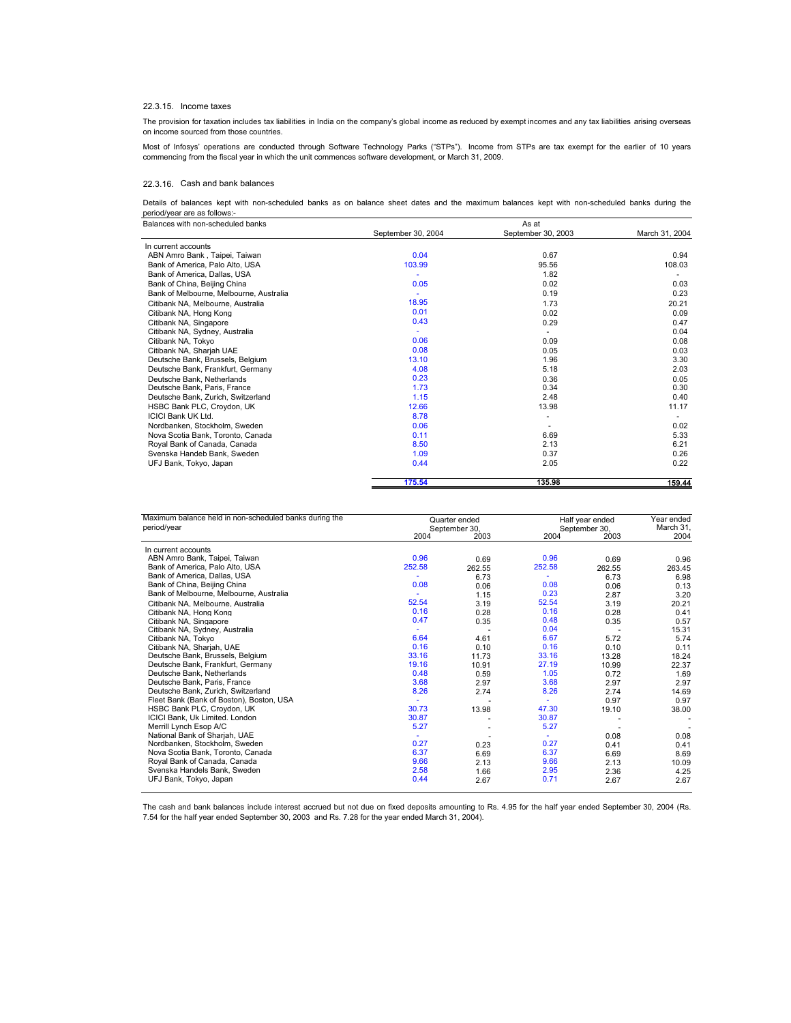#### 22.3.15. Income taxes

The provision for taxation includes tax liabilities in India on the company's global income as reduced by exempt incomes and any tax liabilities arising overseas on income sourced from those countries.

Most of Infosys' operations are conducted through Software Technology Parks ("STPs"). Income from STPs are tax exempt for the earlier of 10 years<br>commencing from the fiscal year in which the unit commences software develop

#### 22.3.16. Cash and bank balances

Details of balances kept with non-scheduled banks as on balance sheet dates and the maximum balances kept with non-scheduled banks during the period/year are as follows:-

| Balances with non-scheduled banks       |                    | As at              |                |
|-----------------------------------------|--------------------|--------------------|----------------|
|                                         | September 30, 2004 | September 30, 2003 | March 31, 2004 |
| In current accounts                     |                    |                    |                |
| ABN Amro Bank, Taipei, Taiwan           | 0.04               | 0.67               | 0.94           |
| Bank of America. Palo Alto, USA         | 103.99             | 95.56              | 108.03         |
| Bank of America, Dallas, USA            |                    | 1.82               |                |
| Bank of China, Beijing China            | 0.05               | 0.02               | 0.03           |
| Bank of Melbourne, Melbourne, Australia |                    | 0.19               | 0.23           |
| Citibank NA, Melbourne, Australia       | 18.95              | 1.73               | 20.21          |
| Citibank NA, Hong Kong                  | 0.01               | 0.02               | 0.09           |
| Citibank NA, Singapore                  | 0.43               | 0.29               | 0.47           |
| Citibank NA, Sydney, Australia          |                    |                    | 0.04           |
| Citibank NA, Tokyo                      | 0.06               | 0.09               | 0.08           |
| Citibank NA, Sharjah UAE                | 0.08               | 0.05               | 0.03           |
| Deutsche Bank, Brussels, Belgium        | 13.10              | 1.96               | 3.30           |
| Deutsche Bank, Frankfurt, Germany       | 4.08               | 5.18               | 2.03           |
| Deutsche Bank, Netherlands              | 0.23               | 0.36               | 0.05           |
| Deutsche Bank, Paris, France            | 1.73               | 0.34               | 0.30           |
| Deutsche Bank, Zurich, Switzerland      | 1.15               | 2.48               | 0.40           |
| HSBC Bank PLC, Croydon, UK              | 12.66              | 13.98              | 11.17          |
| <b>ICICI Bank UK Ltd.</b>               | 8.78               |                    |                |
| Nordbanken, Stockholm, Sweden           | 0.06               |                    | 0.02           |
| Nova Scotia Bank, Toronto, Canada       | 0.11               | 6.69               | 5.33           |
| Royal Bank of Canada, Canada            | 8.50               | 2.13               | 6.21           |
| Svenska Handeb Bank, Sweden             | 1.09               | 0.37               | 0.26           |
| UFJ Bank, Tokyo, Japan                  | 0.44               | 2.05               | 0.22           |
|                                         | 175.54             | 135.98             | 159.44         |

| Maximum balance held in non-scheduled banks during the<br>period/year |        | Quarter ended<br>September 30, |        | Half vear ended<br>September 30. |        |
|-----------------------------------------------------------------------|--------|--------------------------------|--------|----------------------------------|--------|
|                                                                       | 2004   | 2003                           | 2004   | 2003                             | 2004   |
| In current accounts                                                   |        |                                |        |                                  |        |
| ABN Amro Bank, Taipei, Taiwan                                         | 0.96   | 0.69                           | 0.96   | 0.69                             | 0.96   |
| Bank of America, Palo Alto, USA                                       | 252.58 | 262.55                         | 252.58 | 262.55                           | 263.45 |
| Bank of America, Dallas, USA                                          |        | 6.73                           |        | 6.73                             | 6.98   |
| Bank of China, Beijing China                                          | 0.08   | 0.06                           | 0.08   | 0.06                             | 0.13   |
| Bank of Melbourne, Melbourne, Australia                               |        | 1.15                           | 0.23   | 2.87                             | 3.20   |
| Citibank NA, Melbourne, Australia                                     | 52.54  | 3.19                           | 52.54  | 3.19                             | 20.21  |
| Citibank NA, Hong Kong                                                | 0.16   | 0.28                           | 0.16   | 0.28                             | 0.41   |
| Citibank NA, Singapore                                                | 0.47   | 0.35                           | 0.48   | 0.35                             | 0.57   |
| Citibank NA, Sydney, Australia                                        | ٠      |                                | 0.04   |                                  | 15.31  |
| Citibank NA, Tokvo                                                    | 6.64   | 4.61                           | 6.67   | 5.72                             | 5.74   |
| Citibank NA, Sharjah, UAE                                             | 0.16   | 0.10                           | 0.16   | 0.10                             | 0.11   |
| Deutsche Bank, Brussels, Belgium                                      | 33.16  | 11.73                          | 33.16  | 13.28                            | 18.24  |
| Deutsche Bank, Frankfurt, Germany                                     | 19.16  | 10.91                          | 27.19  | 10.99                            | 22.37  |
| Deutsche Bank, Netherlands                                            | 0.48   | 0.59                           | 1.05   | 0.72                             | 1.69   |
| Deutsche Bank, Paris, France                                          | 3.68   | 2.97                           | 3.68   | 2.97                             | 2.97   |
| Deutsche Bank, Zurich, Switzerland                                    | 8.26   | 2.74                           | 8.26   | 2.74                             | 14.69  |
| Fleet Bank (Bank of Boston), Boston, USA                              |        |                                |        | 0.97                             | 0.97   |
| HSBC Bank PLC, Croydon, UK                                            | 30.73  | 13.98                          | 47.30  | 19.10                            | 38.00  |
| ICICI Bank, Uk Limited. London                                        | 30.87  |                                | 30.87  |                                  |        |
| Merrill Lynch Esop A/C                                                | 5.27   |                                | 5.27   |                                  |        |
| National Bank of Shariah, UAE                                         |        |                                | ÷      | 0.08                             | 0.08   |
| Nordbanken, Stockholm, Sweden                                         | 0.27   | 0.23                           | 0.27   | 0.41                             | 0.41   |
| Nova Scotia Bank, Toronto, Canada                                     | 6.37   | 6.69                           | 6.37   | 6.69                             | 8.69   |
| Royal Bank of Canada, Canada                                          | 9.66   | 2.13                           | 9.66   | 2.13                             | 10.09  |
| Svenska Handels Bank, Sweden                                          | 2.58   | 1.66                           | 2.95   | 2.36                             | 4.25   |
| UFJ Bank, Tokyo, Japan                                                | 0.44   | 2.67                           | 0.71   | 2.67                             | 2.67   |

The cash and bank balances include interest accrued but not due on fixed deposits amounting to Rs. 4.95 for the half year ended September 30, 2004 (Rs. 7.54 for the half year ended September 30, 2003 and Rs. 7.28 for the year ended March 31, 2004).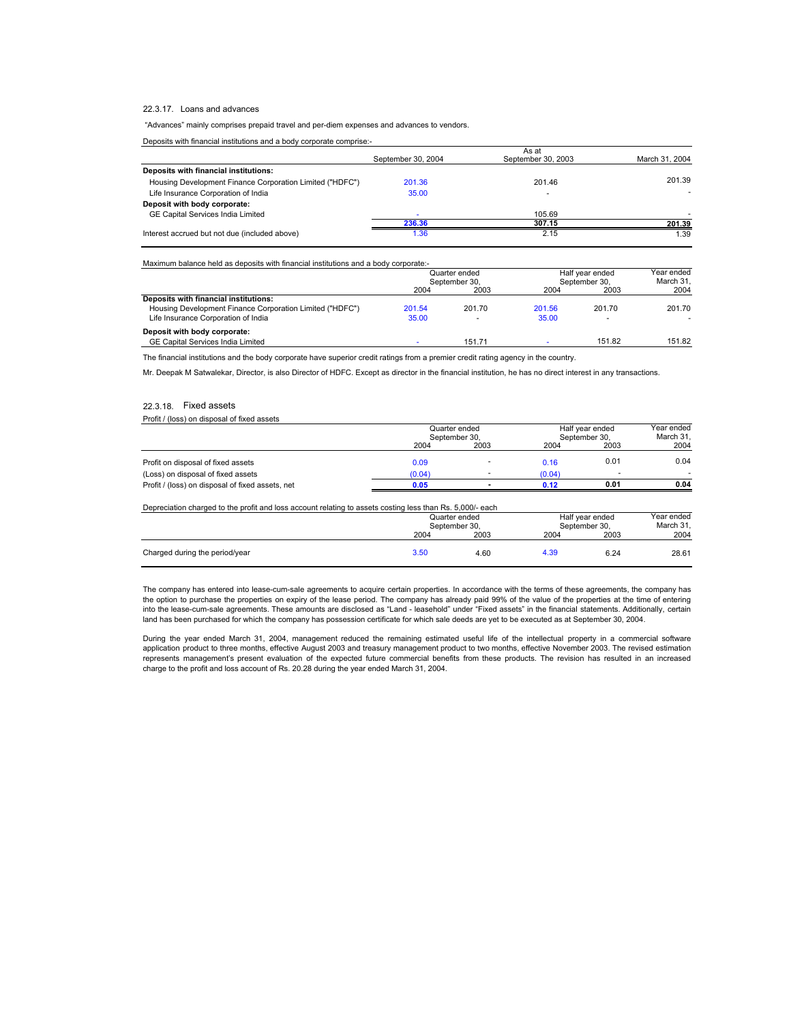#### 22.3.17. Loans and advances

"Advances" mainly comprises prepaid travel and per-diem expenses and advances to vendors.

Deposits with financial institutions and a body corporate comprise:-

|                                                          | September 30, 2004 | As at<br>September 30, 2003 | March 31, 2004 |
|----------------------------------------------------------|--------------------|-----------------------------|----------------|
| Deposits with financial institutions:                    |                    |                             |                |
| Housing Development Finance Corporation Limited ("HDFC") | 201.36             | 201.46                      | 201.39         |
| Life Insurance Corporation of India                      | 35.00              | $\overline{\phantom{a}}$    |                |
| Deposit with body corporate:                             |                    |                             |                |
| GE Capital Services India Limited                        | -                  | 105.69                      |                |
|                                                          | 236.36             | 307.15                      | 201.39         |
| Interest accrued but not due (included above)            | 1.36               | 2.15                        | 1.39           |

Maximum balance held as deposits with financial institutions and a body corporate:-

|                                                          | Quarter ended<br>September 30. |                          | Half year ended<br>September 30. |        | Year ended<br>March 31. |
|----------------------------------------------------------|--------------------------------|--------------------------|----------------------------------|--------|-------------------------|
|                                                          | 2004                           | 2003                     | 2004                             | 2003   | 2004                    |
| Deposits with financial institutions:                    |                                |                          |                                  |        |                         |
| Housing Development Finance Corporation Limited ("HDFC") | 201.54                         | 201.70                   | 201.56                           | 201.70 | 201.70                  |
| Life Insurance Corporation of India                      | 35.00                          | $\overline{\phantom{a}}$ | 35.00                            | -      | $\sim$                  |
| Deposit with body corporate:                             |                                |                          |                                  |        |                         |
| GE Capital Services India Limited                        | -                              | 151.71                   |                                  | 151.82 | 151.82                  |

The financial institutions and the body corporate have superior credit ratings from a premier credit rating agency in the country.

Mr. Deepak M Satwalekar, Director, is also Director of HDFC. Except as director in the financial institution, he has no direct interest in any transactions.

#### 22.3.18. Fixed assets

|  | Profit / (loss) on disposal of fixed assets |  |  |
|--|---------------------------------------------|--|--|
|  |                                             |  |  |

|                                                  |        | Quarter ended<br>September 30. |        | Half year ended<br>September 30. |                   |  |
|--------------------------------------------------|--------|--------------------------------|--------|----------------------------------|-------------------|--|
|                                                  | 2004   | 2003                           | 2004   | 2003                             | March 31.<br>2004 |  |
| Profit on disposal of fixed assets               | 0.09   |                                | 0.16   | 0.01                             | 0.04              |  |
| (Loss) on disposal of fixed assets               | (0.04) | -                              | (0.04) | -                                |                   |  |
| Profit / (loss) on disposal of fixed assets, net | 0.05   |                                | 0.12   | 0.01                             | 0.04              |  |

| Depreciation charged to the profit and loss account relating to assets costing less than Rs. 5,000/- each |                                |      |                                  |      |                         |
|-----------------------------------------------------------------------------------------------------------|--------------------------------|------|----------------------------------|------|-------------------------|
|                                                                                                           | Quarter ended<br>September 30. |      | Half year ended<br>September 30. |      | Year ended<br>March 31. |
|                                                                                                           | 2004                           | 2003 | 2004                             | 2003 | 2004                    |
| Charged during the period/year                                                                            | 3.50                           | 4.60 | 4.39                             | 6.24 | 28.61                   |

The company has entered into lease-cum-sale agreements to acquire certain properties. In accordance with the terms of these agreements, the company has the option to purchase the properties on expiry of the lease period. The company has already paid 99% of the value of the properties at the time of entering into the lease-cum-sale agreements. These amounts are disclosed as "Land - leasehold" under "Fixed assets" in the financial statements. Additionally, certain land has been purchased for which the company has possession certificate for which sale deeds are yet to be executed as at September 30, 2004.

During the year ended March 31, 2004, management reduced the remaining estimated useful life of the intellectual property in a commercial software application product to three months, effective August 2003 and treasury management product to two months, effective November 2003. The revised estimation represents management's present evaluation of the expected future commercial benefits from these products. The revision has resulted in an increased charge to the profit and loss account of Rs. 20.28 during the year ended March 31, 2004.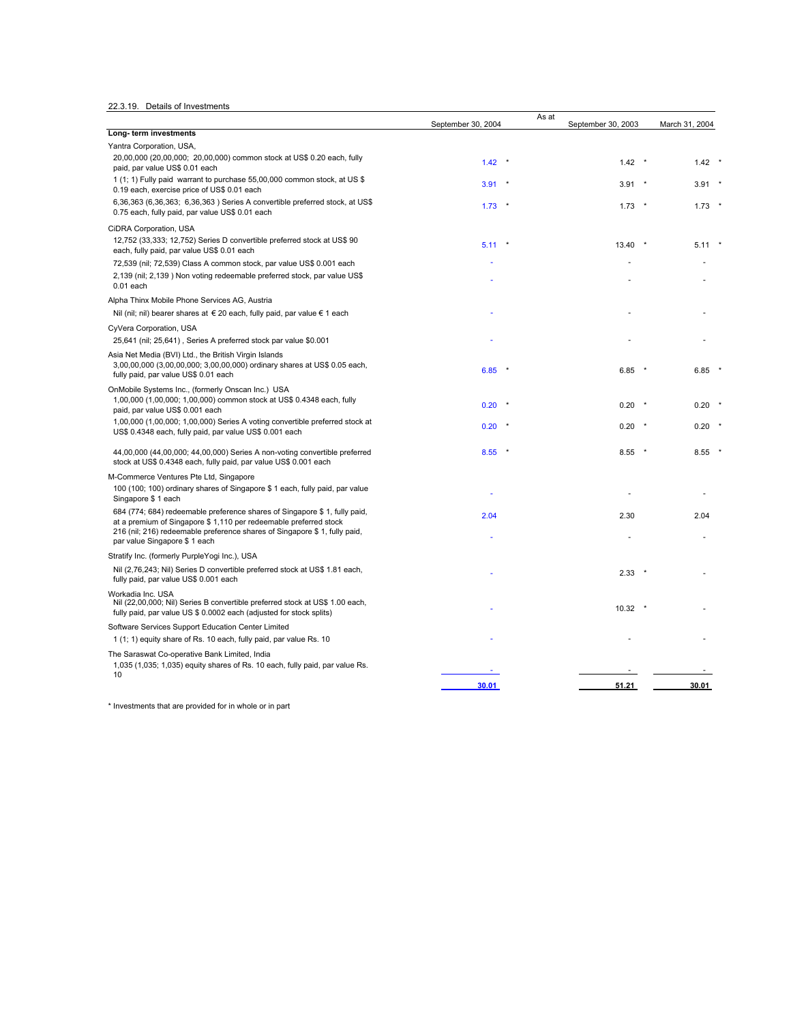#### 22.3.19. Details of Investments

|                                                                                                                                                                            |                    | As at              |                     |
|----------------------------------------------------------------------------------------------------------------------------------------------------------------------------|--------------------|--------------------|---------------------|
| Long-term investments                                                                                                                                                      | September 30, 2004 | September 30, 2003 | March 31, 2004      |
| Yantra Corporation, USA,                                                                                                                                                   |                    |                    |                     |
| 20,00,000 (20,00,000; 20,00,000) common stock at US\$ 0.20 each, fully<br>paid, par value US\$ 0.01 each                                                                   | $1.42$ *           | 1.42               | $1.42$ *            |
| 1 (1; 1) Fully paid warrant to purchase 55,00,000 common stock, at US \$<br>0.19 each, exercise price of US\$ 0.01 each                                                    | $3.91$ *           | 3.91               | $\star$<br>$3.91$ * |
| 6,36,363 (6,36,363; 6,36,363) Series A convertible preferred stock, at US\$<br>0.75 each, fully paid, par value US\$ 0.01 each                                             | 1.73               | 1.73               | ×<br>1.73           |
| CiDRA Corporation, USA                                                                                                                                                     |                    |                    |                     |
| 12,752 (33,333; 12,752) Series D convertible preferred stock at US\$ 90<br>each, fully paid, par value US\$ 0.01 each                                                      | 5.11               | 13.40              | 5.11                |
| 72,539 (nil; 72,539) Class A common stock, par value US\$ 0.001 each                                                                                                       |                    |                    |                     |
| 2,139 (nil; 2,139) Non voting redeemable preferred stock, par value US\$<br>$0.01$ each                                                                                    |                    |                    |                     |
| Alpha Thinx Mobile Phone Services AG, Austria                                                                                                                              |                    |                    |                     |
| Nil (nil; nil) bearer shares at $\in$ 20 each, fully paid, par value $\in$ 1 each                                                                                          |                    |                    |                     |
| CyVera Corporation, USA                                                                                                                                                    |                    |                    |                     |
| 25,641 (nil; 25,641), Series A preferred stock par value \$0.001                                                                                                           |                    |                    |                     |
| Asia Net Media (BVI) Ltd., the British Virgin Islands<br>3,00,00,000 (3,00,00,000; 3,00,00,000) ordinary shares at US\$ 0.05 each,<br>fully paid, par value US\$ 0.01 each | 6.85               | 6.85               | 6.85                |
| OnMobile Systems Inc., (formerly Onscan Inc.) USA<br>1,00,000 (1,00,000; 1,00,000) common stock at US\$ 0.4348 each, fully<br>paid, par value US\$ 0.001 each              | 0.20               | 0.20               | 0.20                |
| 1,00,000 (1,00,000; 1,00,000) Series A voting convertible preferred stock at<br>US\$ 0.4348 each, fully paid, par value US\$ 0.001 each                                    | 0.20               | 0.20               | 0.20                |
| 44,00,000 (44,00,000; 44,00,000) Series A non-voting convertible preferred<br>stock at US\$ 0.4348 each, fully paid, par value US\$ 0.001 each                             | 8.55               | 8.55               | 8.55                |
| M-Commerce Ventures Pte Ltd, Singapore                                                                                                                                     |                    |                    |                     |
| 100 (100; 100) ordinary shares of Singapore \$1 each, fully paid, par value<br>Singapore \$ 1 each                                                                         |                    |                    |                     |
| 684 (774; 684) redeemable preference shares of Singapore \$1, fully paid,<br>at a premium of Singapore \$1,110 per redeemable preferred stock                              | 2.04               | 2.30               | 2.04                |
| 216 (nil; 216) redeemable preference shares of Singapore \$1, fully paid,<br>par value Singapore \$ 1 each                                                                 |                    |                    |                     |
| Stratify Inc. (formerly PurpleYogi Inc.), USA                                                                                                                              |                    |                    |                     |
| Nil (2,76,243; Nil) Series D convertible preferred stock at US\$ 1.81 each,<br>fully paid, par value US\$ 0.001 each                                                       |                    | 2.33               |                     |
| Workadia Inc. USA<br>Nil (22,00,000; Nil) Series B convertible preferred stock at US\$ 1.00 each,<br>fully paid, par value US \$ 0.0002 each (adjusted for stock splits)   |                    | 10.32              |                     |
| Software Services Support Education Center Limited                                                                                                                         |                    |                    |                     |
| 1 (1; 1) equity share of Rs. 10 each, fully paid, par value Rs. 10                                                                                                         |                    |                    |                     |
| The Saraswat Co-operative Bank Limited, India<br>1,035 (1,035; 1,035) equity shares of Rs. 10 each, fully paid, par value Rs.                                              |                    |                    |                     |
| 10                                                                                                                                                                         | 30.01              | 51.21              | 30.01               |
|                                                                                                                                                                            |                    |                    |                     |

\* Investments that are provided for in whole or in part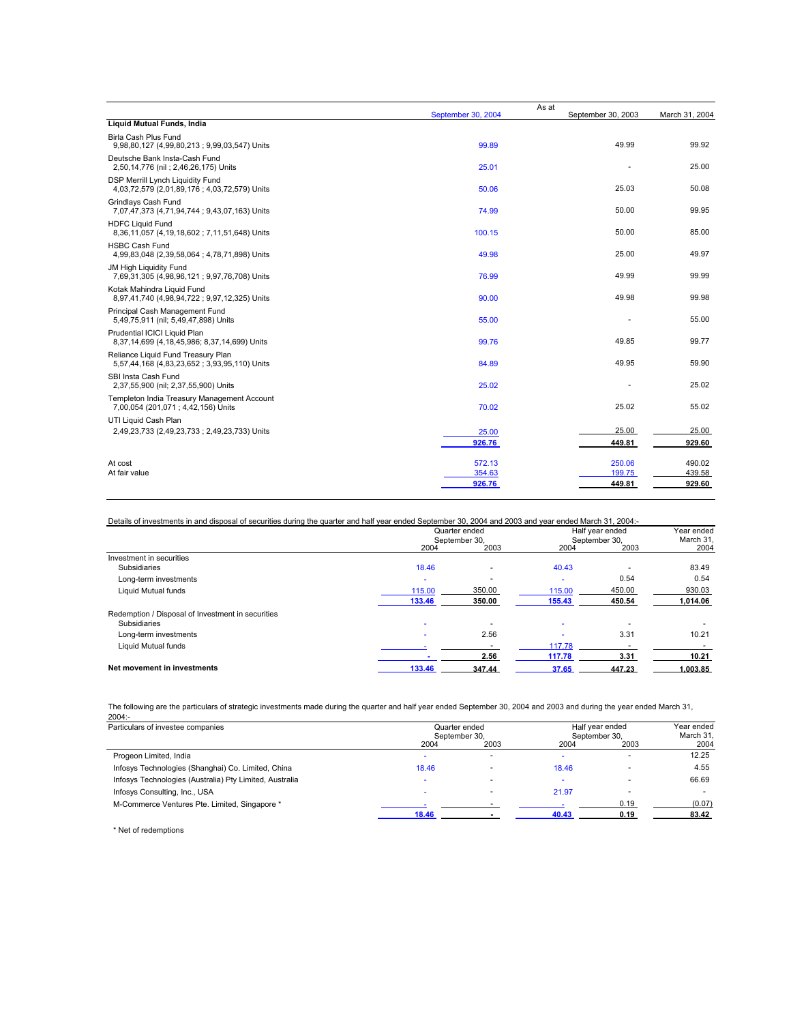|                                                                                    |                    | As at              |                |
|------------------------------------------------------------------------------------|--------------------|--------------------|----------------|
|                                                                                    | September 30, 2004 | September 30, 2003 | March 31, 2004 |
| <b>Liquid Mutual Funds, India</b>                                                  |                    |                    |                |
| Birla Cash Plus Fund<br>9,98,80,127 (4,99,80,213; 9,99,03,547) Units               | 99.89              | 49.99              | 99.92          |
| Deutsche Bank Insta-Cash Fund<br>2,50,14,776 (nil; 2,46,26,175) Units              | 25.01              |                    | 25.00          |
| DSP Merrill Lynch Liquidity Fund<br>4,03,72,579 (2,01,89,176; 4,03,72,579) Units   | 50.06              | 25.03              | 50.08          |
| Grindlays Cash Fund<br>7,07,47,373 (4,71,94,744 ; 9,43,07,163) Units               | 74.99              | 50.00              | 99.95          |
| <b>HDFC Liquid Fund</b><br>8,36,11,057 (4,19,18,602 ; 7,11,51,648) Units           | 100.15             | 50.00              | 85.00          |
| <b>HSBC Cash Fund</b><br>4,99,83,048 (2,39,58,064; 4,78,71,898) Units              | 49.98              | 25.00              | 49.97          |
| JM High Liguidity Fund<br>7,69,31,305 (4,98,96,121; 9,97,76,708) Units             | 76.99              | 49.99              | 99.99          |
| Kotak Mahindra Liquid Fund<br>8,97,41,740 (4,98,94,722; 9,97,12,325) Units         | 90.00              | 49.98              | 99.98          |
| Principal Cash Management Fund<br>5,49,75,911 (nil; 5,49,47,898) Units             | 55.00              |                    | 55.00          |
| Prudential ICICI Liquid Plan<br>8,37,14,699 (4,18,45,986; 8,37,14,699) Units       | 99.76              | 49.85              | 99.77          |
| Reliance Liquid Fund Treasury Plan<br>5,57,44,168 (4,83,23,652; 3,93,95,110) Units | 84.89              | 49.95              | 59.90          |
| SBI Insta Cash Fund<br>2,37,55,900 (nil; 2,37,55,900) Units                        | 25.02              |                    | 25.02          |
| Templeton India Treasury Management Account<br>7,00,054 (201,071 ; 4,42,156) Units | 70.02              | 25.02              | 55.02          |
| UTI Liquid Cash Plan                                                               |                    |                    |                |
| 2,49,23,733 (2,49,23,733; 2,49,23,733) Units                                       | 25.00              | 25.00              | 25.00          |
|                                                                                    | 926.76             | 449.81             | 929.60         |
| At cost                                                                            | 572.13             | 250.06             | 490.02         |
| At fair value                                                                      | 354.63             | 199.75             | 439.58         |
|                                                                                    | 926.76             | 449.81             | 929.60         |

|                                                   |        | Quarter ended            |                          | Half year ended | Year ended |
|---------------------------------------------------|--------|--------------------------|--------------------------|-----------------|------------|
|                                                   |        | September 30.            |                          | September 30.   | March 31.  |
|                                                   | 2004   | 2003                     | 2004                     | 2003            | 2004       |
| Investment in securities                          |        |                          |                          |                 |            |
| Subsidiaries                                      | 18.46  | $\overline{\phantom{a}}$ | 40.43                    |                 | 83.49      |
| Long-term investments                             |        | -                        | $\overline{\phantom{a}}$ | 0.54            | 0.54       |
| Liquid Mutual funds                               | 115.00 | 350.00                   | 115.00                   | 450.00          | 930.03     |
|                                                   | 133.46 | 350.00                   | 155.43                   | 450.54          | 1,014.06   |
| Redemption / Disposal of Investment in securities |        |                          |                          |                 |            |
| Subsidiaries                                      |        |                          |                          |                 |            |
| Long-term investments                             |        | 2.56                     |                          | 3.31            | 10.21      |
| Liquid Mutual funds                               |        |                          | 117.78                   |                 |            |
|                                                   |        | 2.56                     | 117.78                   | 3.31            | 10.21      |
| Net movement in investments                       | 133.46 | 347.44                   | 37.65                    | 447.23          | 1.003.85   |

The following are the particulars of strategic investments made during the quarter and half year ended September 30, 2004 and 2003 and during the year ended March 31, 2004:-

| Particulars of investee companies                       |       | Quarter ended | Half vear ended | Year ended    |        |  |
|---------------------------------------------------------|-------|---------------|-----------------|---------------|--------|--|
|                                                         |       | September 30. |                 | September 30. |        |  |
|                                                         | 2004  | 2003          | 2004            | 2003          | 2004   |  |
| Progeon Limited, India                                  |       |               |                 |               | 12.25  |  |
| Infosys Technologies (Shanghai) Co. Limited, China      | 18.46 |               | 18.46           |               | 4.55   |  |
| Infosys Technologies (Australia) Pty Limited, Australia |       |               |                 |               | 66.69  |  |
| Infosys Consulting, Inc., USA                           |       |               | 21.97           |               |        |  |
| M-Commerce Ventures Pte. Limited, Singapore *           |       |               |                 | 0.19          | (0.07) |  |
|                                                         | 18.46 |               | 40.43           | 0.19          | 83.42  |  |

\* Net of redemptions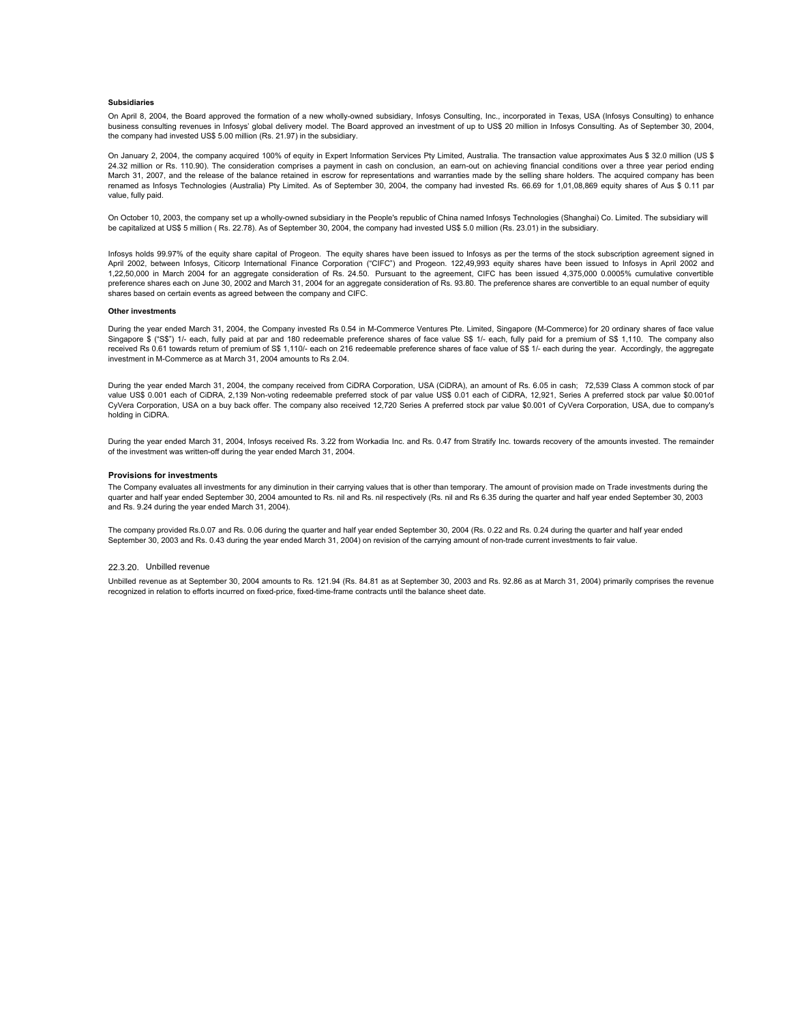### **Subsidiaries**

On April 8, 2004, the Board approved the formation of a new wholly-owned subsidiary, Infosys Consulting, Inc., incorporated in Texas, USA (Infosys Consulting) to enhance business consulting revenues in Infosys' global delivery model. The Board approved an investment of up to US\$ 20 million in Infosys Consulting. As of September 30, 2004, the company had invested US\$ 5.00 million (Rs. 21.97) in the subsidiary.

On January 2, 2004, the company acquired 100% of equity in Expert Information Services Pty Limited, Australia. The transaction value approximates Aus \$ 32.0 million (US \$ 24.32 million or Rs. 110.90). The consideration comprises a payment in cash on conclusion, an earn-out on achieving financial conditions over a three year period ending March 31, 2007, and the release of the balance retained in escrow for representations and warranties made by the selling share holders. The acquired company has been renamed as Infosys Technologies (Australia) Pty Limited. As of September 30, 2004, the company had invested Rs. 66.69 for 1,01,08,869 equity shares of Aus \$ 0.11 par value, fully paid.

On October 10, 2003, the company set up a wholly-owned subsidiary in the People's republic of China named Infosys Technologies (Shanghai) Co. Limited. The subsidiary will be capitalized at US\$ 5 million ( Rs. 22.78). As of September 30, 2004, the company had invested US\$ 5.0 million (Rs. 23.01) in the subsidiary.

Infosys holds 99.97% of the equity share capital of Progeon. The equity shares have been issued to Infosys as per the terms of the stock subscription agreement signed in April 2002, between Infosys, Citicorp International Finance Corporation ("CIFC") and Progeon. 122,49,993 equity shares have been issued to Infosys in April 2002 and 1,22,50,000 in March 2004 for an aggregate consideration of Rs. 24.50. Pursuant to the agreement, CIFC has been issued 4,375,000 0.0005% cumulative convertible preference shares each on June 30, 2002 and March 31, 2004 for an aggregate consideration of Rs. 93.80. The preference shares are convertible to an equal number of equity shares based on certain events as agreed between the company and CIFC.

# **Other investments**

During the year ended March 31, 2004, the Company invested Rs 0.54 in M-Commerce Ventures Pte. Limited, Singapore (M-Commerce) for 20 ordinary shares of face value Singapore \$ ("S\$") 1/- each, fully paid at par and 180 redeemable preference shares of face value S\$ 1/- each, fully paid for a premium of S\$ 1,110. The company also received Rs 0.61 towards return of premium of S\$ 1,110/- each on 216 redeemable preference shares of face value of S\$ 1/- each during the year. Accordingly, the aggregate investment in M-Commerce as at March 31, 2004 amounts to Rs 2.04.

During the year ended March 31, 2004, the company received from CiDRA Corporation, USA (CiDRA), an amount of Rs. 6.05 in cash; 72,539 Class A common stock of par value US\$ 0.001 each of CiDRA, 2,139 Non-voting redeemable preferred stock of par value US\$ 0.01 each of CiDRA, 12,921, Series A preferred stock par value \$0.001of CyVera Corporation, USA on a buy back offer. The company also received 12,720 Series A preferred stock par value \$0.001 of CyVera Corporation, USA, due to company's holding in CiDRA.

During the year ended March 31, 2004, Infosys received Rs. 3.22 from Workadia Inc. and Rs. 0.47 from Stratify Inc. towards recovery of the amounts invested. The remainder of the investment was written-off during the year ended March 31, 2004.

#### **Provisions for investments**

The Company evaluates all investments for any diminution in their carrying values that is other than temporary. The amount of provision made on Trade investments during the quarter and half year ended September 30, 2004 amounted to Rs. nil and Rs. nil respectively (Rs. nil and Rs 6.35 during the quarter and half year ended September 30, 2003 and Rs. 9.24 during the year ended March 31, 2004).

The company provided Rs.0.07 and Rs. 0.06 during the quarter and half year ended September 30, 2004 (Rs. 0.22 and Rs. 0.24 during the quarter and half year ended September 30, 2003 and Rs. 0.43 during the year ended March 31, 2004) on revision of the carrying amount of non-trade current investments to fair value.

#### 22.3.20. Unbilled revenue

Unbilled revenue as at September 30, 2004 amounts to Rs. 121.94 (Rs. 84.81 as at September 30, 2003 and Rs. 92.86 as at March 31, 2004) primarily comprises the revenue recognized in relation to efforts incurred on fixed-price, fixed-time-frame contracts until the balance sheet date.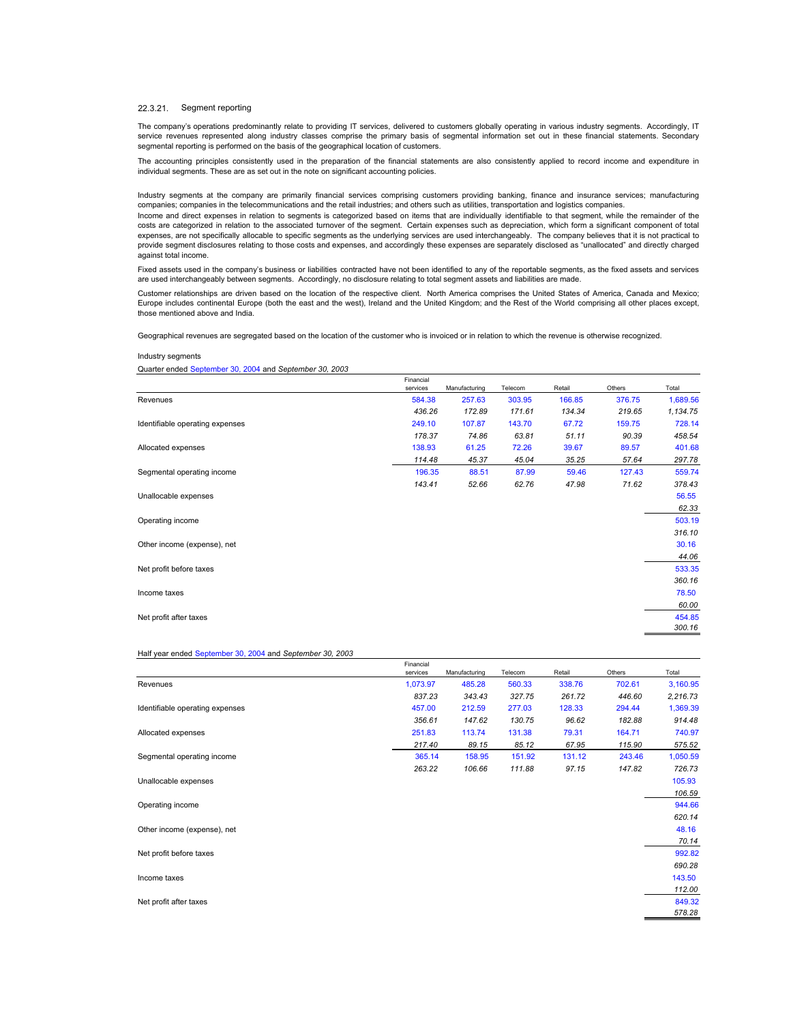#### 22.3.21. Segment reporting

The company's operations predominantly relate to providing IT services, delivered to customers globally operating in various industry segments. Accordingly, IT service revenues represented along industry classes comprise the primary basis of segmental information set out in these financial statements. Secondary segmental reporting is performed on the basis of the geographical location of customers.

The accounting principles consistently used in the preparation of the financial statements are also consistently applied to record income and expenditure in individual segments. These are as set out in the note on significant accounting policies.

Industry segments at the company are primarily financial services comprising customers providing banking, finance and insurance services; manufacturing companies; companies in the telecommunications and the retail industries; and others such as utilities, transportation and logistics companies.

Income and direct expenses in relation to segments is categorized based on items that are individually identifiable to that segment, while the remainder of the costs are categorized in relation to the associated turnover of the segment. Certain expenses such as depreciation, which form a significant component of total expenses, are not specifically allocable to specific segments as the underlying services are used interchangeably. The company believes that it is not practical to provide segment disclosures relating to those costs and expenses, and accordingly these expenses are separately disclosed as "unallocated" and directly charged against total income.

Fixed assets used in the company's business or liabilities contracted have not been identified to any of the reportable segments, as the fixed assets and services are used interchangeably between segments. Accordingly, no disclosure relating to total segment assets and liabilities are made.

Customer relationships are driven based on the location of the respective client. North America comprises the United States of America, Canada and Mexico; Europe includes continental Europe (both the east and the west), Ireland and the United Kingdom; and the Rest of the World comprising all other places except, those mentioned above and India.

Geographical revenues are segregated based on the location of the customer who is invoiced or in relation to which the revenue is otherwise recognized.

#### Industry segments

Quarter ended September 30, 2004 and *September 30, 2003*

|                                 | Financial<br>services | Manufacturing | Telecom | Retail | Others | Total    |
|---------------------------------|-----------------------|---------------|---------|--------|--------|----------|
| Revenues                        | 584.38                | 257.63        | 303.95  | 166.85 | 376.75 | 1,689.56 |
|                                 | 436.26                | 172.89        | 171.61  | 134.34 | 219.65 | 1,134.75 |
| Identifiable operating expenses | 249.10                | 107.87        | 143.70  | 67.72  | 159.75 | 728.14   |
|                                 | 178.37                | 74.86         | 63.81   | 51.11  | 90.39  | 458.54   |
| Allocated expenses              | 138.93                | 61.25         | 72.26   | 39.67  | 89.57  | 401.68   |
|                                 | 114.48                | 45.37         | 45.04   | 35.25  | 57.64  | 297.78   |
| Segmental operating income      | 196.35                | 88.51         | 87.99   | 59.46  | 127.43 | 559.74   |
|                                 | 143.41                | 52.66         | 62.76   | 47.98  | 71.62  | 378.43   |
| Unallocable expenses            |                       |               |         |        |        | 56.55    |
|                                 |                       |               |         |        |        | 62.33    |
| Operating income                |                       |               |         |        |        | 503.19   |
|                                 |                       |               |         |        |        | 316.10   |
| Other income (expense), net     |                       |               |         |        |        | 30.16    |
|                                 |                       |               |         |        |        | 44.06    |
| Net profit before taxes         |                       |               |         |        |        | 533.35   |
|                                 |                       |               |         |        |        | 360.16   |
| Income taxes                    |                       |               |         |        |        | 78.50    |
|                                 |                       |               |         |        |        | 60.00    |
| Net profit after taxes          |                       |               |         |        |        | 454.85   |
|                                 |                       |               |         |        |        | 300.16   |
|                                 |                       |               |         |        |        |          |

|  |  |  | Half year ended September 30, 2004 and September 30, 2003 |
|--|--|--|-----------------------------------------------------------|
|--|--|--|-----------------------------------------------------------|

|                                 | Financial<br>services | Manufacturing | Telecom | Retail | Others | Total    |
|---------------------------------|-----------------------|---------------|---------|--------|--------|----------|
| Revenues                        | 1,073.97              | 485.28        | 560.33  | 338.76 | 702.61 | 3,160.95 |
|                                 | 837.23                | 343.43        | 327.75  | 261.72 | 446.60 | 2,216.73 |
| Identifiable operating expenses | 457.00                | 212.59        | 277.03  | 128.33 | 294.44 | 1,369.39 |
|                                 | 356.61                | 147.62        | 130.75  | 96.62  | 182.88 | 914.48   |
| Allocated expenses              | 251.83                | 113.74        | 131.38  | 79.31  | 164.71 | 740.97   |
|                                 | 217.40                | 89.15         | 85.12   | 67.95  | 115.90 | 575.52   |
| Segmental operating income      | 365.14                | 158.95        | 151.92  | 131.12 | 243.46 | 1,050.59 |
|                                 | 263.22                | 106.66        | 111.88  | 97.15  | 147.82 | 726.73   |
| Unallocable expenses            |                       |               |         |        |        | 105.93   |
|                                 |                       |               |         |        |        | 106.59   |
| Operating income                |                       |               |         |        |        | 944.66   |
|                                 |                       |               |         |        |        | 620.14   |
| Other income (expense), net     |                       |               |         |        |        | 48.16    |
|                                 |                       |               |         |        |        | 70.14    |
| Net profit before taxes         |                       |               |         |        |        | 992.82   |
|                                 |                       |               |         |        |        | 690.28   |
| Income taxes                    |                       |               |         |        |        | 143.50   |
|                                 |                       |               |         |        |        | 112.00   |
| Net profit after taxes          |                       |               |         |        |        | 849.32   |
|                                 |                       |               |         |        |        | 578.28   |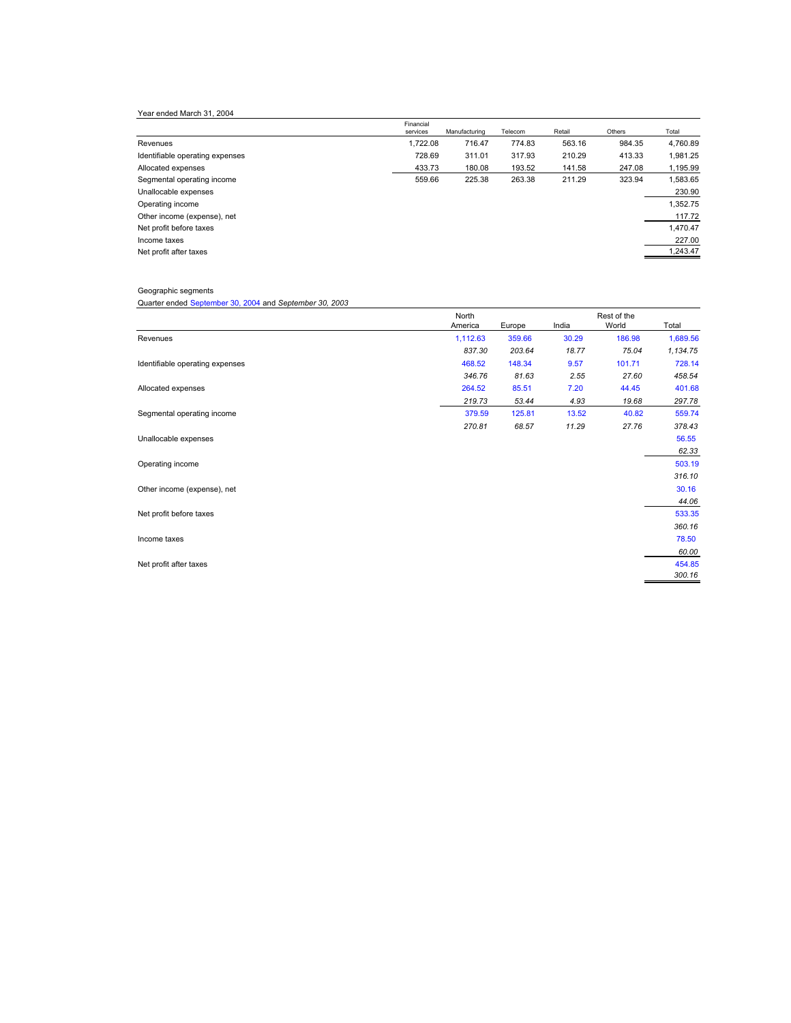Year ended March 31, 2004

|                                 | Financial |               |         |        |        |          |
|---------------------------------|-----------|---------------|---------|--------|--------|----------|
|                                 | services  | Manufacturing | Telecom | Retail | Others | Total    |
| Revenues                        | 1,722.08  | 716.47        | 774.83  | 563.16 | 984.35 | 4.760.89 |
| Identifiable operating expenses | 728.69    | 311.01        | 317.93  | 210.29 | 413.33 | 1,981.25 |
| Allocated expenses              | 433.73    | 180.08        | 193.52  | 141.58 | 247.08 | 1,195.99 |
| Segmental operating income      | 559.66    | 225.38        | 263.38  | 211.29 | 323.94 | 1.583.65 |
| Unallocable expenses            |           |               |         |        |        | 230.90   |
| Operating income                |           |               |         |        |        | 1.352.75 |
| Other income (expense), net     |           |               |         |        |        | 117.72   |
| Net profit before taxes         |           |               |         |        |        | 1.470.47 |
| Income taxes                    |           |               |         |        |        | 227.00   |
| Net profit after taxes          |           |               |         |        |        | 1.243.47 |
|                                 |           |               |         |        |        |          |

# Geographic segments

Quarter ended September 30, 2004 and *September 30, 2003*

|                                 | North    |        |       | Rest of the |          |  |
|---------------------------------|----------|--------|-------|-------------|----------|--|
|                                 | America  | Europe | India | World       | Total    |  |
| Revenues                        | 1,112.63 | 359.66 | 30.29 | 186.98      | 1,689.56 |  |
|                                 | 837.30   | 203.64 | 18.77 | 75.04       | 1,134.75 |  |
| Identifiable operating expenses | 468.52   | 148.34 | 9.57  | 101.71      | 728.14   |  |
|                                 | 346.76   | 81.63  | 2.55  | 27.60       | 458.54   |  |
| Allocated expenses              | 264.52   | 85.51  | 7.20  | 44.45       | 401.68   |  |
|                                 | 219.73   | 53.44  | 4.93  | 19.68       | 297.78   |  |
| Segmental operating income      | 379.59   | 125.81 | 13.52 | 40.82       | 559.74   |  |
|                                 | 270.81   | 68.57  | 11.29 | 27.76       | 378.43   |  |
| Unallocable expenses            |          |        |       |             | 56.55    |  |
|                                 |          |        |       |             | 62.33    |  |
| Operating income                |          |        |       |             | 503.19   |  |
|                                 |          |        |       |             | 316.10   |  |
| Other income (expense), net     |          |        |       |             | 30.16    |  |
|                                 |          |        |       |             | 44.06    |  |
| Net profit before taxes         |          |        |       |             | 533.35   |  |
|                                 |          |        |       |             | 360.16   |  |
| Income taxes                    |          |        |       |             | 78.50    |  |
|                                 |          |        |       |             | 60.00    |  |
| Net profit after taxes          |          |        |       |             | 454.85   |  |
|                                 |          |        |       |             | 300.16   |  |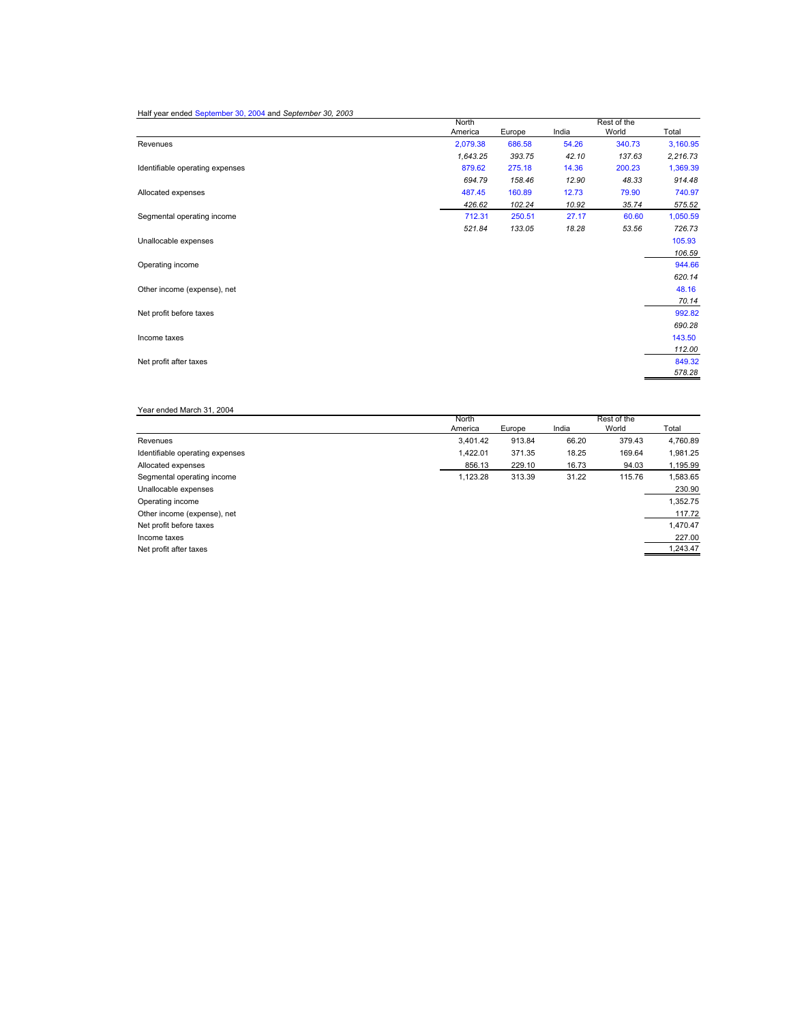# Half year ended September 30, 2004 and *September 30, 2003*

|                                 | North    |        |       | Rest of the |          |
|---------------------------------|----------|--------|-------|-------------|----------|
|                                 | America  | Europe | India | World       | Total    |
| Revenues                        | 2,079.38 | 686.58 | 54.26 | 340.73      | 3,160.95 |
|                                 | 1,643.25 | 393.75 | 42.10 | 137.63      | 2,216.73 |
| Identifiable operating expenses | 879.62   | 275.18 | 14.36 | 200.23      | 1,369.39 |
|                                 | 694.79   | 158.46 | 12.90 | 48.33       | 914.48   |
| Allocated expenses              | 487.45   | 160.89 | 12.73 | 79.90       | 740.97   |
|                                 | 426.62   | 102.24 | 10.92 | 35.74       | 575.52   |
| Segmental operating income      | 712.31   | 250.51 | 27.17 | 60.60       | 1,050.59 |
|                                 | 521.84   | 133.05 | 18.28 | 53.56       | 726.73   |
| Unallocable expenses            |          |        |       |             | 105.93   |
|                                 |          |        |       |             | 106.59   |
| Operating income                |          |        |       |             | 944.66   |
|                                 |          |        |       |             | 620.14   |
| Other income (expense), net     |          |        |       |             | 48.16    |
|                                 |          |        |       |             | 70.14    |
| Net profit before taxes         |          |        |       |             | 992.82   |
|                                 |          |        |       |             | 690.28   |
| Income taxes                    |          |        |       |             | 143.50   |
|                                 |          |        |       |             | 112.00   |
| Net profit after taxes          |          |        |       |             | 849.32   |
|                                 |          |        |       |             | 578.28   |

# Year ended March 31, 2004

|                                 | North    |        |       | Rest of the |          |  |
|---------------------------------|----------|--------|-------|-------------|----------|--|
|                                 | America  | Europe | India | World       | Total    |  |
| Revenues                        | 3.401.42 | 913.84 | 66.20 | 379.43      | 4.760.89 |  |
| Identifiable operating expenses | 1.422.01 | 371.35 | 18.25 | 169.64      | 1,981.25 |  |
| Allocated expenses              | 856.13   | 229.10 | 16.73 | 94.03       | 1,195.99 |  |
| Segmental operating income      | 1,123.28 | 313.39 | 31.22 | 115.76      | 1,583.65 |  |
| Unallocable expenses            |          |        |       |             | 230.90   |  |
| Operating income                |          |        |       |             | 1,352.75 |  |
| Other income (expense), net     |          |        |       |             | 117.72   |  |
| Net profit before taxes         |          |        |       |             | 1.470.47 |  |
| Income taxes                    |          |        |       |             | 227.00   |  |
| Net profit after taxes          |          |        |       |             | 1,243.47 |  |
|                                 |          |        |       |             |          |  |